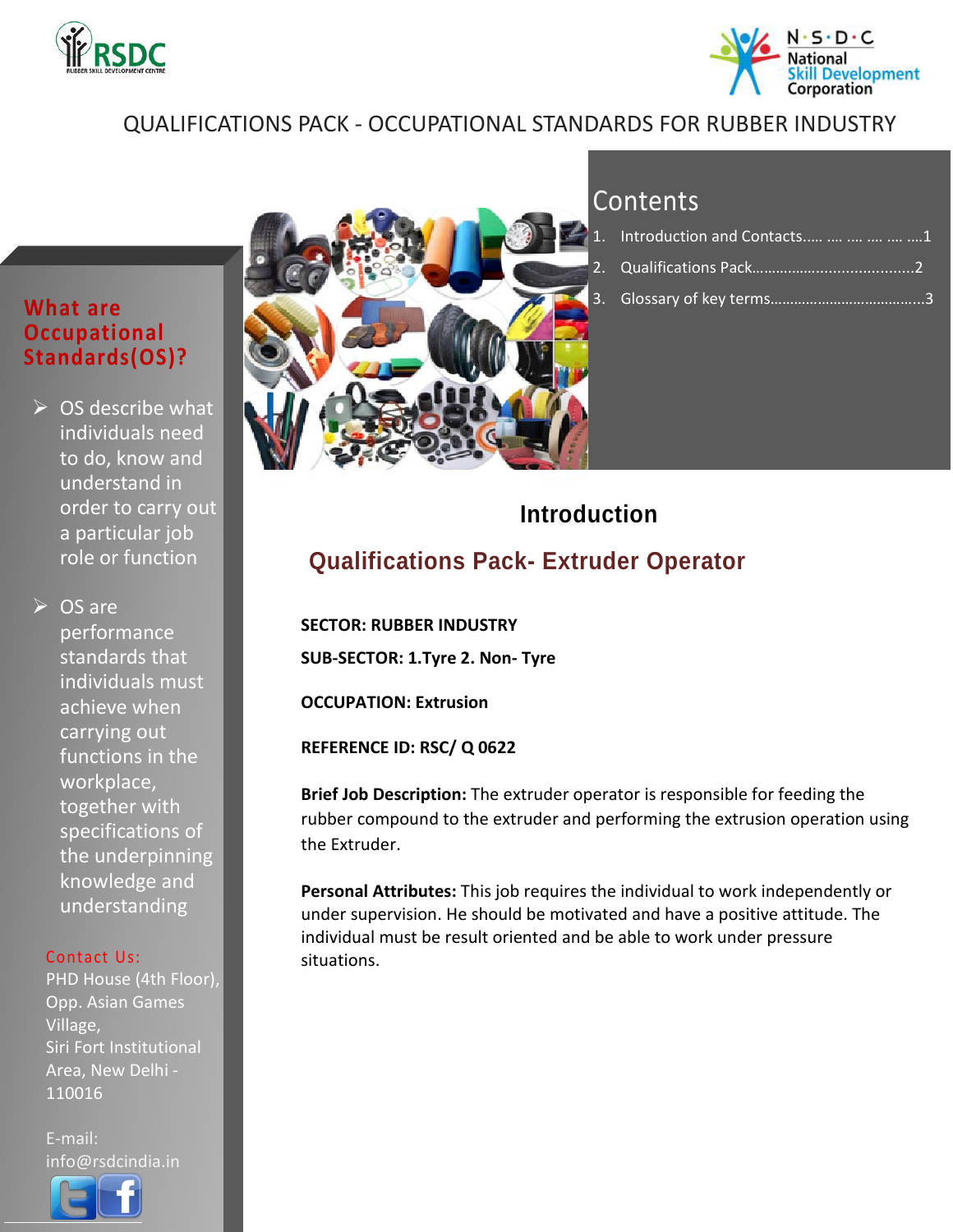



### QUALIFICATIONS PACK - OCCUPATIONAL STANDARDS FOR RUBBER INDUSTRY

#### **What are Occupational Standards(OS)?**

 $\triangleright$  OS describe what individuals need to do, know and understand in order to carry out a particular job role or function

**► OS are** performance standards that individuals must achieve when carrying out functions in the workplace, together with specifications of the underpinning knowledge and understanding

#### Contact Us:

PHD House (4th Floor), Opp. Asian Games Village, Siri Fort Institutional Area, New Delhi - 110016

E-mail: info@rsdcindia.in

l



| 1. Introduction and Contacts      1 |  |
|-------------------------------------|--|
|                                     |  |
|                                     |  |

### **Introduction**

### <span id="page-0-0"></span>**Qualifications Pack- Extruder Operator**

 **SECTOR: RUBBER INDUSTRY SUB-SECTOR: 1.Tyre 2. Non- Tyre**

**OCCUPATION: Extrusion**

**REFERENCE ID: RSC/ Q 0622**

**Brief Job Description:** The extruder operator is responsible for feeding the rubber compound to the extruder and performing the extrusion operation using the Extruder.

**Personal Attributes:** This job requires the individual to work independently or under supervision. He should be motivated and have a positive attitude. The individual must be result oriented and be able to work under pressure situations.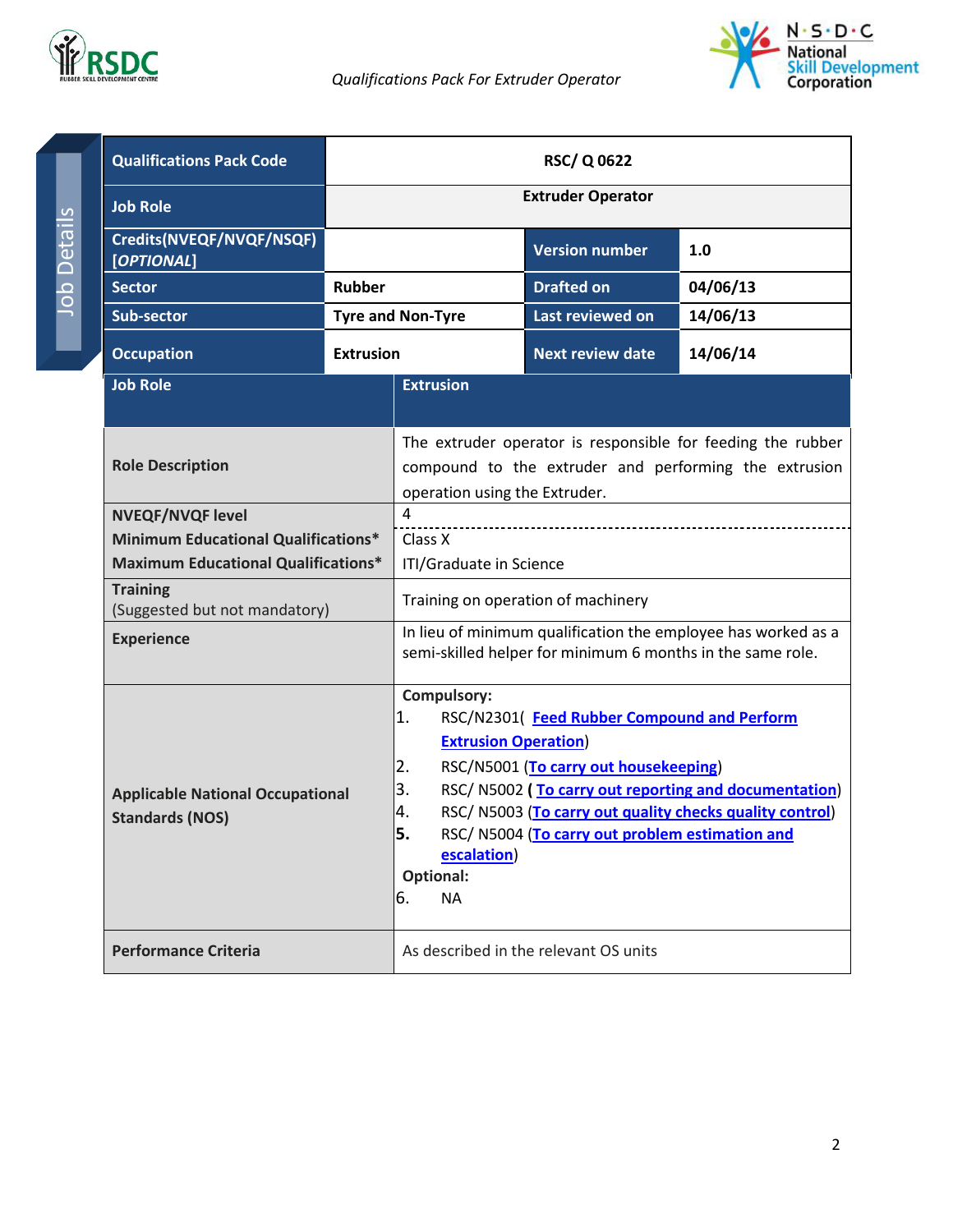



<span id="page-1-0"></span>

| <b>Qualifications Pack Code</b>                                   |                  | <b>RSC/Q0622</b>                                                                                                                                                                                                                                                                                                                                                                                 |                                       |          |
|-------------------------------------------------------------------|------------------|--------------------------------------------------------------------------------------------------------------------------------------------------------------------------------------------------------------------------------------------------------------------------------------------------------------------------------------------------------------------------------------------------|---------------------------------------|----------|
| <b>Job Role</b>                                                   |                  | <b>Extruder Operator</b>                                                                                                                                                                                                                                                                                                                                                                         |                                       |          |
| Credits(NVEQF/NVQF/NSQF)<br>[OPTIONAL]                            |                  |                                                                                                                                                                                                                                                                                                                                                                                                  | <b>Version number</b>                 | 1.0      |
| <b>Sector</b>                                                     | Rubber           |                                                                                                                                                                                                                                                                                                                                                                                                  | <b>Drafted on</b>                     | 04/06/13 |
| <b>Sub-sector</b>                                                 |                  | <b>Tyre and Non-Tyre</b>                                                                                                                                                                                                                                                                                                                                                                         | Last reviewed on                      | 14/06/13 |
| <b>Occupation</b>                                                 | <b>Extrusion</b> |                                                                                                                                                                                                                                                                                                                                                                                                  | <b>Next review date</b>               | 14/06/14 |
| <b>Job Role</b>                                                   |                  | <b>Extrusion</b>                                                                                                                                                                                                                                                                                                                                                                                 |                                       |          |
| <b>Role Description</b>                                           |                  | The extruder operator is responsible for feeding the rubber<br>compound to the extruder and performing the extrusion<br>operation using the Extruder.                                                                                                                                                                                                                                            |                                       |          |
| <b>NVEQF/NVQF level</b>                                           |                  | $\overline{4}$                                                                                                                                                                                                                                                                                                                                                                                   |                                       |          |
| <b>Minimum Educational Qualifications*</b>                        |                  | Class X                                                                                                                                                                                                                                                                                                                                                                                          |                                       |          |
| <b>Maximum Educational Qualifications*</b>                        |                  | ITI/Graduate in Science                                                                                                                                                                                                                                                                                                                                                                          |                                       |          |
| <b>Training</b><br>(Suggested but not mandatory)                  |                  | Training on operation of machinery                                                                                                                                                                                                                                                                                                                                                               |                                       |          |
| <b>Experience</b>                                                 |                  | In lieu of minimum qualification the employee has worked as a<br>semi-skilled helper for minimum 6 months in the same role.                                                                                                                                                                                                                                                                      |                                       |          |
| <b>Applicable National Occupational</b><br><b>Standards (NOS)</b> |                  | <b>Compulsory:</b><br>1.<br>RSC/N2301(Feed Rubber Compound and Perform<br><b>Extrusion Operation)</b><br>RSC/N5001 (To carry out housekeeping)<br>2.<br>3.<br>RSC/N5002 (To carry out reporting and documentation)<br>4.<br>RSC/N5003 (To carry out quality checks quality control)<br>5<br>RSC/N5004 (To carry out problem estimation and<br>escalation)<br><b>Optional:</b><br>6.<br><b>NA</b> |                                       |          |
| <b>Performance Criteria</b>                                       |                  |                                                                                                                                                                                                                                                                                                                                                                                                  | As described in the relevant OS units |          |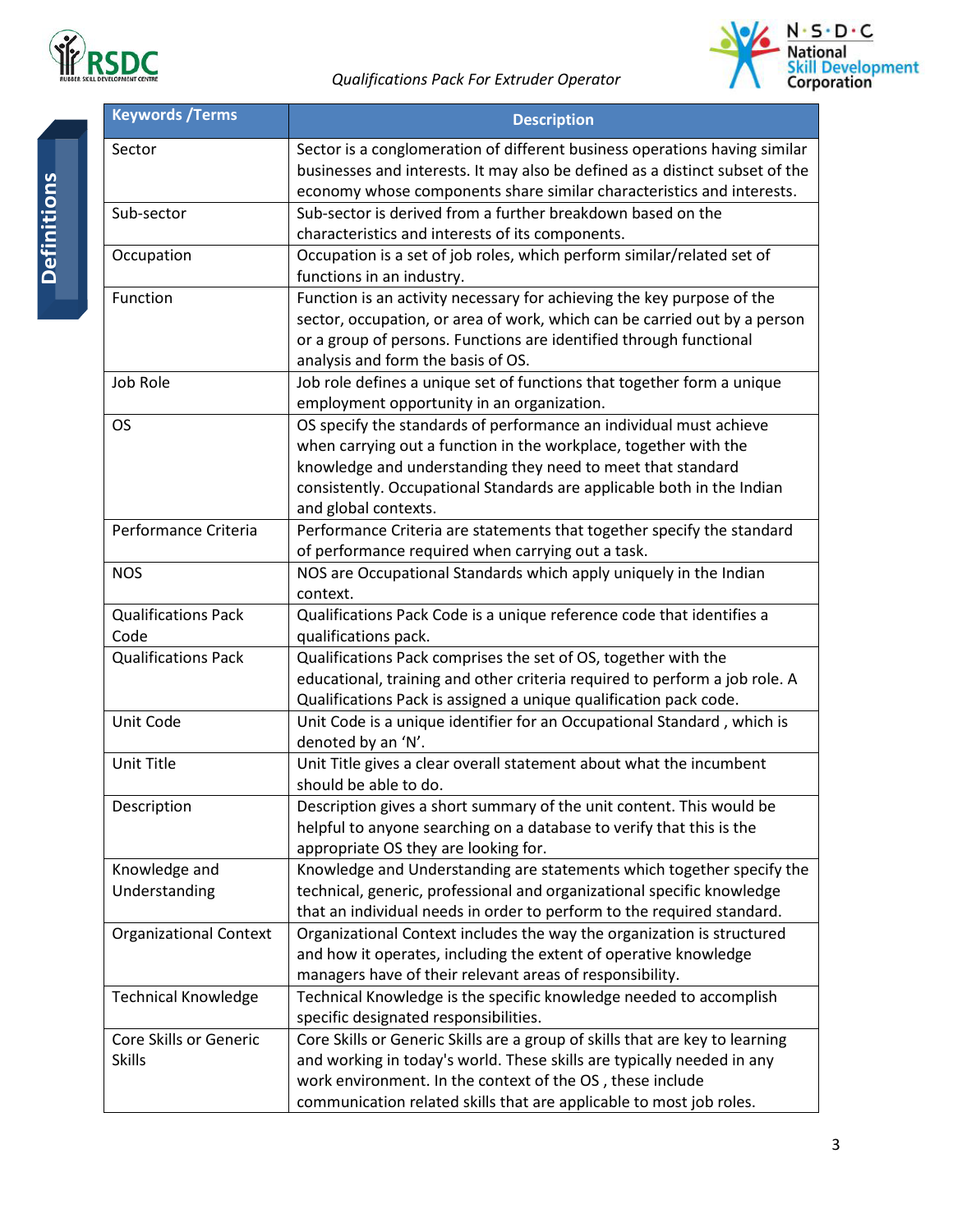



| <b>Keywords /Terms</b>        | <b>Description</b>                                                            |
|-------------------------------|-------------------------------------------------------------------------------|
| Sector                        | Sector is a conglomeration of different business operations having similar    |
|                               | businesses and interests. It may also be defined as a distinct subset of the  |
|                               | economy whose components share similar characteristics and interests.         |
| Sub-sector                    | Sub-sector is derived from a further breakdown based on the                   |
|                               | characteristics and interests of its components.                              |
| Occupation                    | Occupation is a set of job roles, which perform similar/related set of        |
|                               | functions in an industry.                                                     |
| Function                      | Function is an activity necessary for achieving the key purpose of the        |
|                               | sector, occupation, or area of work, which can be carried out by a person     |
|                               | or a group of persons. Functions are identified through functional            |
|                               | analysis and form the basis of OS.                                            |
| Job Role                      | Job role defines a unique set of functions that together form a unique        |
|                               | employment opportunity in an organization.                                    |
| <b>OS</b>                     | OS specify the standards of performance an individual must achieve            |
|                               | when carrying out a function in the workplace, together with the              |
|                               | knowledge and understanding they need to meet that standard                   |
|                               | consistently. Occupational Standards are applicable both in the Indian        |
|                               | and global contexts.                                                          |
| Performance Criteria          | Performance Criteria are statements that together specify the standard        |
|                               | of performance required when carrying out a task.                             |
| <b>NOS</b>                    | NOS are Occupational Standards which apply uniquely in the Indian<br>context. |
| <b>Qualifications Pack</b>    | Qualifications Pack Code is a unique reference code that identifies a         |
| Code                          | qualifications pack.                                                          |
| <b>Qualifications Pack</b>    | Qualifications Pack comprises the set of OS, together with the                |
|                               | educational, training and other criteria required to perform a job role. A    |
|                               | Qualifications Pack is assigned a unique qualification pack code.             |
| Unit Code                     | Unit Code is a unique identifier for an Occupational Standard, which is       |
|                               | denoted by an 'N'.                                                            |
| Unit Title                    | Unit Title gives a clear overall statement about what the incumbent           |
|                               | should be able to do.                                                         |
| Description                   | Description gives a short summary of the unit content. This would be          |
|                               | helpful to anyone searching on a database to verify that this is the          |
|                               | appropriate OS they are looking for.                                          |
| Knowledge and                 | Knowledge and Understanding are statements which together specify the         |
| Understanding                 | technical, generic, professional and organizational specific knowledge        |
|                               | that an individual needs in order to perform to the required standard.        |
| <b>Organizational Context</b> | Organizational Context includes the way the organization is structured        |
|                               | and how it operates, including the extent of operative knowledge              |
|                               | managers have of their relevant areas of responsibility.                      |
| <b>Technical Knowledge</b>    | Technical Knowledge is the specific knowledge needed to accomplish            |
|                               | specific designated responsibilities.                                         |
| Core Skills or Generic        | Core Skills or Generic Skills are a group of skills that are key to learning  |
| <b>Skills</b>                 | and working in today's world. These skills are typically needed in any        |
|                               | work environment. In the context of the OS, these include                     |
|                               | communication related skills that are applicable to most job roles.           |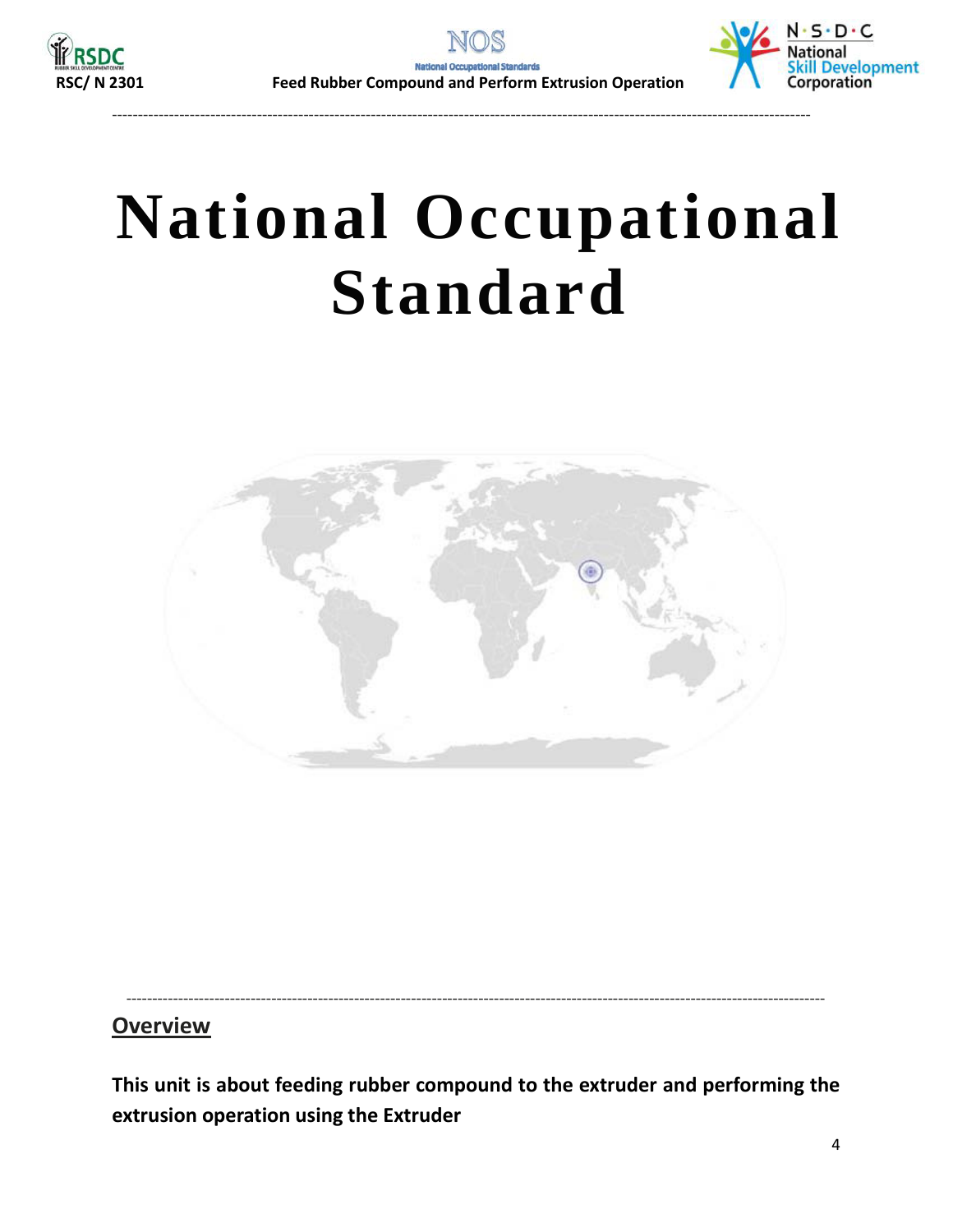

<span id="page-3-0"></span>---------------------------------------------------------------------------------------------------------------------------------------



# **National Occupational Standard**



### **Overview**

**This unit is about feeding rubber compound to the extruder and performing the extrusion operation using the Extruder**

---------------------------------------------------------------------------------------------------------------------------------------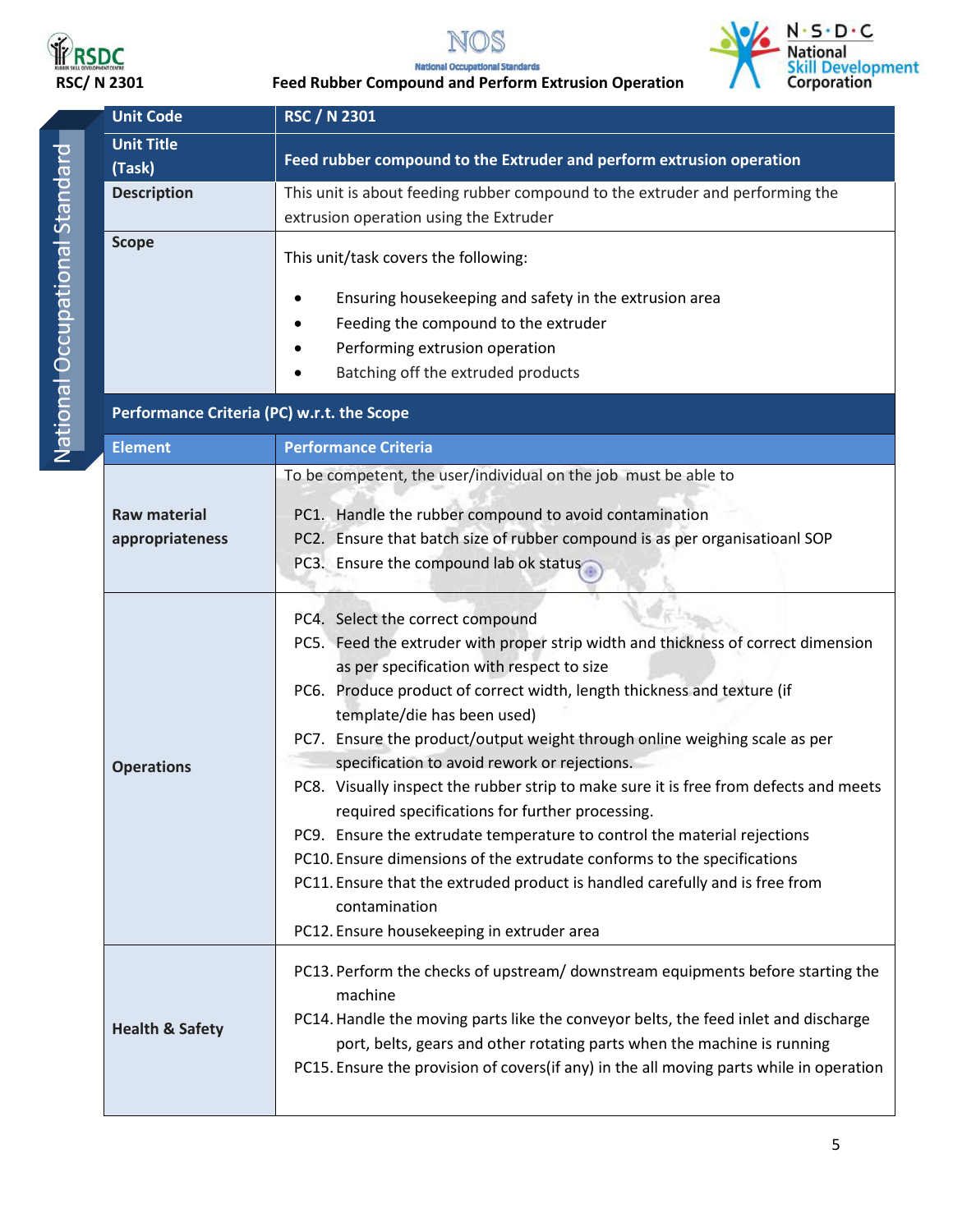

<span id="page-4-0"></span>



**RSDC**<br>RSC/ N 2301 **Feed Rubber Compound and Perform Extrusion Operation**<br>RSC/ N 2301 **Feed Rubber Compound and Perform Extrusion Operation** 

| <b>Unit Code</b>                           | <b>RSC / N 2301</b>                                                                                                                                                                                                                                                                                                                                                                                                                                                                                                                                                                                                                                                                                                                                                                                                                                          |  |
|--------------------------------------------|--------------------------------------------------------------------------------------------------------------------------------------------------------------------------------------------------------------------------------------------------------------------------------------------------------------------------------------------------------------------------------------------------------------------------------------------------------------------------------------------------------------------------------------------------------------------------------------------------------------------------------------------------------------------------------------------------------------------------------------------------------------------------------------------------------------------------------------------------------------|--|
| <b>Unit Title</b><br>(Task)                | Feed rubber compound to the Extruder and perform extrusion operation                                                                                                                                                                                                                                                                                                                                                                                                                                                                                                                                                                                                                                                                                                                                                                                         |  |
| <b>Description</b>                         | This unit is about feeding rubber compound to the extruder and performing the<br>extrusion operation using the Extruder                                                                                                                                                                                                                                                                                                                                                                                                                                                                                                                                                                                                                                                                                                                                      |  |
| <b>Scope</b>                               | This unit/task covers the following:                                                                                                                                                                                                                                                                                                                                                                                                                                                                                                                                                                                                                                                                                                                                                                                                                         |  |
|                                            | Ensuring housekeeping and safety in the extrusion area<br>Feeding the compound to the extruder<br>Performing extrusion operation<br>Batching off the extruded products                                                                                                                                                                                                                                                                                                                                                                                                                                                                                                                                                                                                                                                                                       |  |
|                                            |                                                                                                                                                                                                                                                                                                                                                                                                                                                                                                                                                                                                                                                                                                                                                                                                                                                              |  |
| Performance Criteria (PC) w.r.t. the Scope |                                                                                                                                                                                                                                                                                                                                                                                                                                                                                                                                                                                                                                                                                                                                                                                                                                                              |  |
| <b>Element</b>                             | <b>Performance Criteria</b>                                                                                                                                                                                                                                                                                                                                                                                                                                                                                                                                                                                                                                                                                                                                                                                                                                  |  |
| <b>Raw material</b><br>appropriateness     | To be competent, the user/individual on the job must be able to<br>PC1. Handle the rubber compound to avoid contamination<br>PC2. Ensure that batch size of rubber compound is as per organisatioanl SOP<br>PC3. Ensure the compound lab ok status                                                                                                                                                                                                                                                                                                                                                                                                                                                                                                                                                                                                           |  |
| <b>Operations</b>                          | PC4. Select the correct compound<br>PC5. Feed the extruder with proper strip width and thickness of correct dimension<br>as per specification with respect to size<br>PC6. Produce product of correct width, length thickness and texture (if<br>template/die has been used)<br>PC7. Ensure the product/output weight through online weighing scale as per<br>specification to avoid rework or rejections.<br>PC8. Visually inspect the rubber strip to make sure it is free from defects and meets<br>required specifications for further processing.<br>PC9. Ensure the extrudate temperature to control the material rejections<br>PC10. Ensure dimensions of the extrudate conforms to the specifications<br>PC11. Ensure that the extruded product is handled carefully and is free from<br>contamination<br>PC12. Ensure housekeeping in extruder area |  |
| <b>Health &amp; Safety</b>                 | PC13. Perform the checks of upstream/ downstream equipments before starting the<br>machine<br>PC14. Handle the moving parts like the conveyor belts, the feed inlet and discharge<br>port, belts, gears and other rotating parts when the machine is running<br>PC15. Ensure the provision of covers(if any) in the all moving parts while in operation                                                                                                                                                                                                                                                                                                                                                                                                                                                                                                      |  |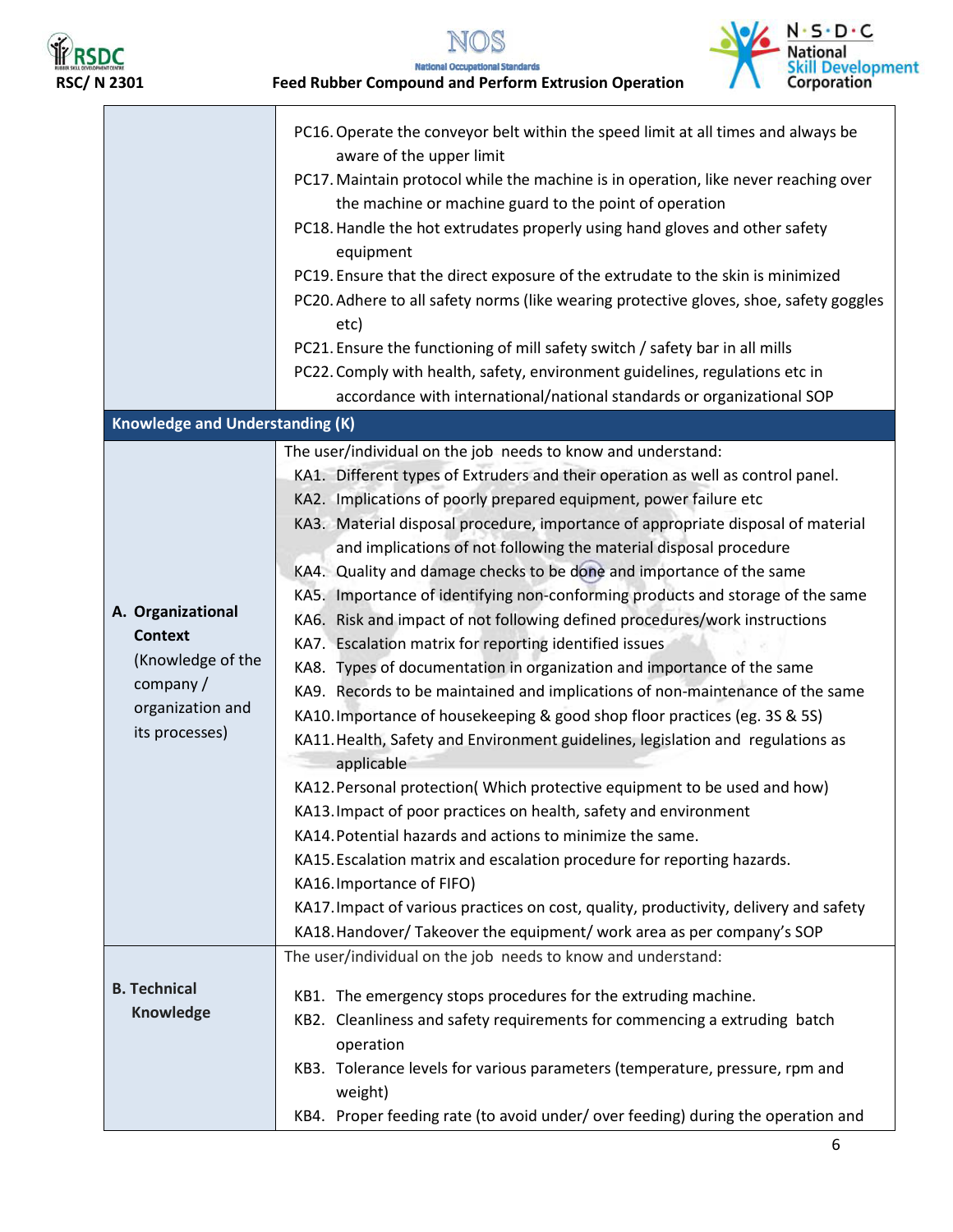

 $N \cdot S \cdot D \cdot C$  $\frac{d}{dt}$ National<br>Skill Development<br>Corporation

**RSDC**<br>RSC/ N 2301 **Feed Rubber Compound and Perform Extrusion Operation** 

|                                                                                                             | PC16. Operate the conveyor belt within the speed limit at all times and always be<br>aware of the upper limit<br>PC17. Maintain protocol while the machine is in operation, like never reaching over<br>the machine or machine guard to the point of operation<br>PC18. Handle the hot extrudates properly using hand gloves and other safety<br>equipment<br>PC19. Ensure that the direct exposure of the extrudate to the skin is minimized<br>PC20. Adhere to all safety norms (like wearing protective gloves, shoe, safety goggles<br>etc)<br>PC21. Ensure the functioning of mill safety switch / safety bar in all mills<br>PC22. Comply with health, safety, environment guidelines, regulations etc in<br>accordance with international/national standards or organizational SOP                                                                                                                                                                                                                                                                                                                                                                                                                                                                                                                                                                                                                                                                                                                          |
|-------------------------------------------------------------------------------------------------------------|--------------------------------------------------------------------------------------------------------------------------------------------------------------------------------------------------------------------------------------------------------------------------------------------------------------------------------------------------------------------------------------------------------------------------------------------------------------------------------------------------------------------------------------------------------------------------------------------------------------------------------------------------------------------------------------------------------------------------------------------------------------------------------------------------------------------------------------------------------------------------------------------------------------------------------------------------------------------------------------------------------------------------------------------------------------------------------------------------------------------------------------------------------------------------------------------------------------------------------------------------------------------------------------------------------------------------------------------------------------------------------------------------------------------------------------------------------------------------------------------------------------------|
| <b>Knowledge and Understanding (K)</b>                                                                      |                                                                                                                                                                                                                                                                                                                                                                                                                                                                                                                                                                                                                                                                                                                                                                                                                                                                                                                                                                                                                                                                                                                                                                                                                                                                                                                                                                                                                                                                                                                    |
| A. Organizational<br><b>Context</b><br>(Knowledge of the<br>company /<br>organization and<br>its processes) | The user/individual on the job needs to know and understand:<br>KA1. Different types of Extruders and their operation as well as control panel.<br>KA2. Implications of poorly prepared equipment, power failure etc<br>KA3. Material disposal procedure, importance of appropriate disposal of material<br>and implications of not following the material disposal procedure<br>KA4. Quality and damage checks to be done and importance of the same<br>KA5. Importance of identifying non-conforming products and storage of the same<br>KA6. Risk and impact of not following defined procedures/work instructions<br>KA7. Escalation matrix for reporting identified issues<br>KA8. Types of documentation in organization and importance of the same<br>KA9. Records to be maintained and implications of non-maintenance of the same<br>KA10. Importance of housekeeping & good shop floor practices (eg. 3S & 5S)<br>KA11. Health, Safety and Environment guidelines, legislation and regulations as<br>applicable<br>KA12. Personal protection( Which protective equipment to be used and how)<br>KA13. Impact of poor practices on health, safety and environment<br>KA14. Potential hazards and actions to minimize the same.<br>KA15. Escalation matrix and escalation procedure for reporting hazards.<br>KA16. Importance of FIFO)<br>KA17. Impact of various practices on cost, quality, productivity, delivery and safety<br>KA18. Handover/ Takeover the equipment/ work area as per company's SOP |
| <b>B. Technical</b><br>Knowledge                                                                            | The user/individual on the job needs to know and understand:<br>KB1. The emergency stops procedures for the extruding machine.                                                                                                                                                                                                                                                                                                                                                                                                                                                                                                                                                                                                                                                                                                                                                                                                                                                                                                                                                                                                                                                                                                                                                                                                                                                                                                                                                                                     |
|                                                                                                             | KB2. Cleanliness and safety requirements for commencing a extruding batch<br>operation<br>KB3. Tolerance levels for various parameters (temperature, pressure, rpm and<br>weight)<br>KB4. Proper feeding rate (to avoid under/over feeding) during the operation and                                                                                                                                                                                                                                                                                                                                                                                                                                                                                                                                                                                                                                                                                                                                                                                                                                                                                                                                                                                                                                                                                                                                                                                                                                               |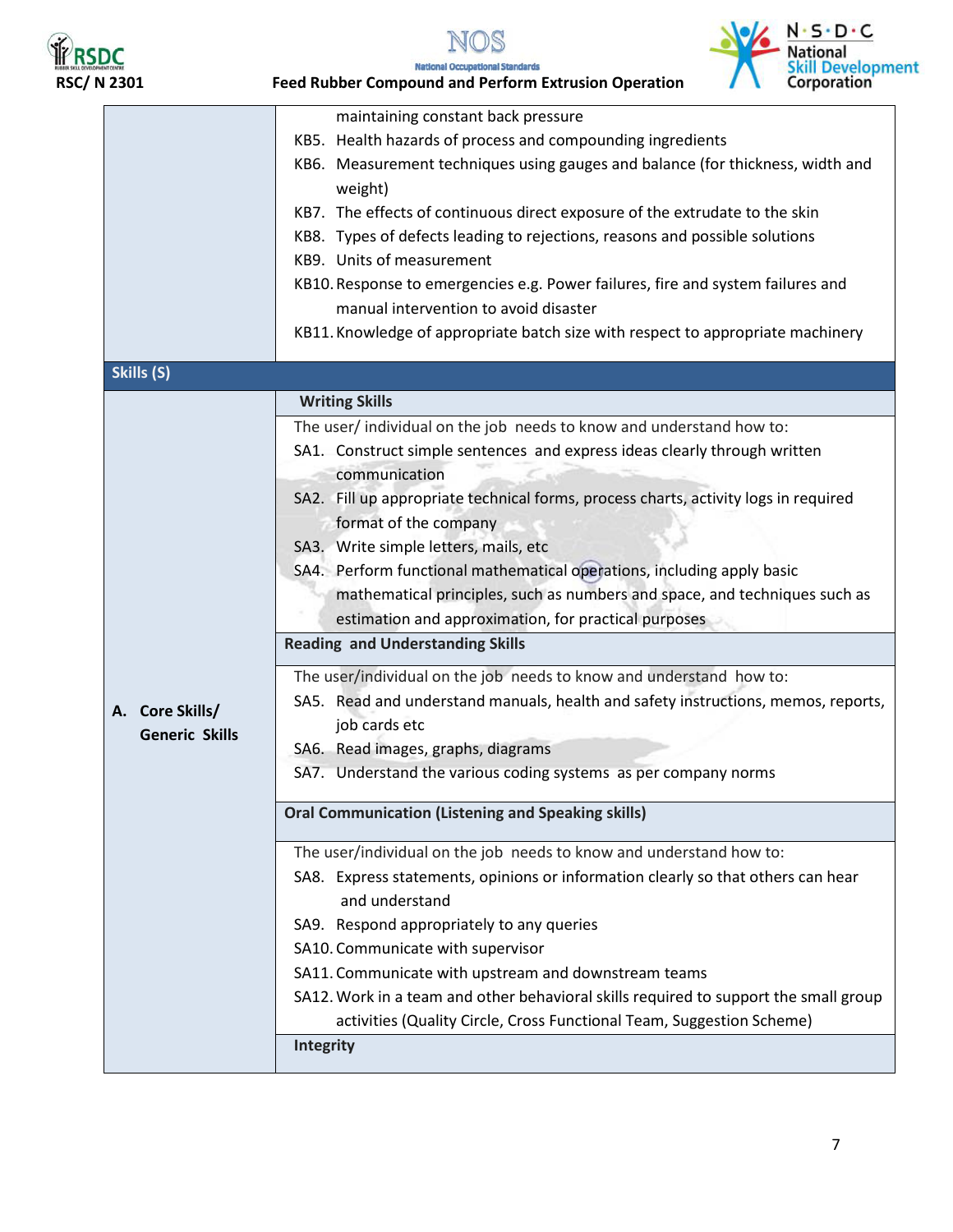

NOS



|                                          | n <i>s</i> b c<br>National                                                                                                                                                                                                                                                                                                                                                                                                                                                                                                                                                                                                                                                                                                                                                                                                                                                                           |
|------------------------------------------|------------------------------------------------------------------------------------------------------------------------------------------------------------------------------------------------------------------------------------------------------------------------------------------------------------------------------------------------------------------------------------------------------------------------------------------------------------------------------------------------------------------------------------------------------------------------------------------------------------------------------------------------------------------------------------------------------------------------------------------------------------------------------------------------------------------------------------------------------------------------------------------------------|
| <b>RSC/N2301</b>                         | <b>Skill Developme</b><br>Corporation<br><b>National Occupational Standards</b><br><b>Feed Rubber Compound and Perform Extrusion Operation</b>                                                                                                                                                                                                                                                                                                                                                                                                                                                                                                                                                                                                                                                                                                                                                       |
|                                          | maintaining constant back pressure<br>KB5. Health hazards of process and compounding ingredients<br>KB6. Measurement techniques using gauges and balance (for thickness, width and<br>weight)<br>KB7. The effects of continuous direct exposure of the extrudate to the skin<br>KB8. Types of defects leading to rejections, reasons and possible solutions<br>KB9. Units of measurement<br>KB10. Response to emergencies e.g. Power failures, fire and system failures and<br>manual intervention to avoid disaster                                                                                                                                                                                                                                                                                                                                                                                 |
| Skills (S)                               | KB11. Knowledge of appropriate batch size with respect to appropriate machinery                                                                                                                                                                                                                                                                                                                                                                                                                                                                                                                                                                                                                                                                                                                                                                                                                      |
| A. Core Skills/<br><b>Generic Skills</b> | <b>Writing Skills</b><br>The user/individual on the job needs to know and understand how to:<br>SA1. Construct simple sentences and express ideas clearly through written<br>communication<br>SA2. Fill up appropriate technical forms, process charts, activity logs in required<br>format of the company<br>SA3. Write simple letters, mails, etc<br>SA4. Perform functional mathematical operations, including apply basic<br>mathematical principles, such as numbers and space, and techniques such as<br>estimation and approximation, for practical purposes<br><b>Reading and Understanding Skills</b><br>The user/individual on the job needs to know and understand how to:<br>SA5. Read and understand manuals, health and safety instructions, memos, reports,<br>job cards etc<br>SA6. Read images, graphs, diagrams<br>SA7. Understand the various coding systems as per company norms |
|                                          | <b>Oral Communication (Listening and Speaking skills)</b><br>The user/individual on the job needs to know and understand how to:<br>SA8. Express statements, opinions or information clearly so that others can hear<br>and understand<br>SA9. Respond appropriately to any queries<br>SA10. Communicate with supervisor<br>SA11. Communicate with upstream and downstream teams<br>SA12. Work in a team and other behavioral skills required to support the small group<br>activities (Quality Circle, Cross Functional Team, Suggestion Scheme)<br>Integrity                                                                                                                                                                                                                                                                                                                                       |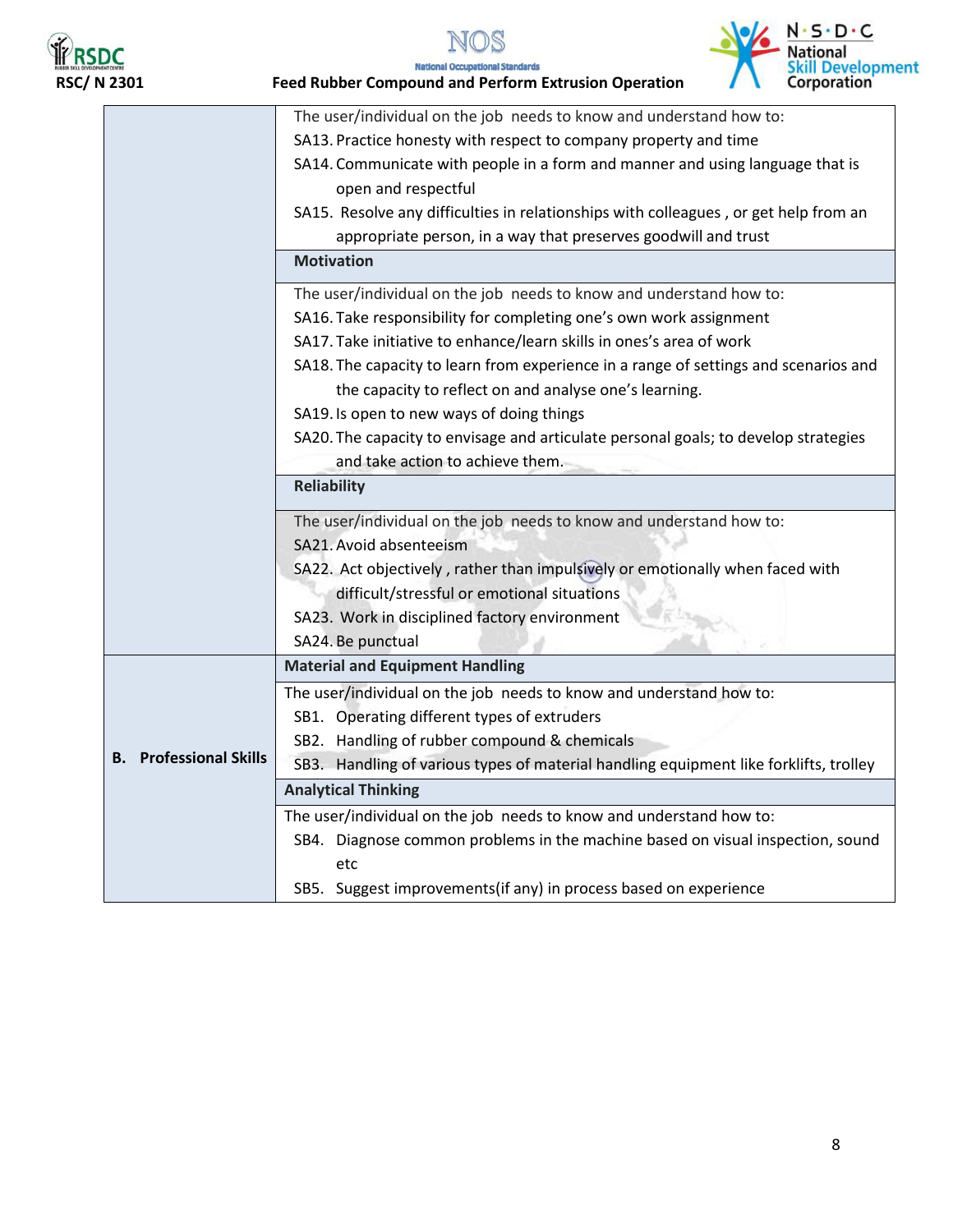





**RSDC**<br>RSC/ N 2301 **Feed Rubber Compound and Perform Extrusion Operation** 

|                               | The user/individual on the job needs to know and understand how to:                                                                            |
|-------------------------------|------------------------------------------------------------------------------------------------------------------------------------------------|
|                               | SA13. Practice honesty with respect to company property and time                                                                               |
|                               | SA14. Communicate with people in a form and manner and using language that is<br>open and respectful                                           |
|                               | SA15. Resolve any difficulties in relationships with colleagues, or get help from an                                                           |
|                               | appropriate person, in a way that preserves goodwill and trust                                                                                 |
|                               | <b>Motivation</b>                                                                                                                              |
|                               | The user/individual on the job needs to know and understand how to:                                                                            |
|                               | SA16. Take responsibility for completing one's own work assignment                                                                             |
|                               | SA17. Take initiative to enhance/learn skills in ones's area of work                                                                           |
|                               | SA18. The capacity to learn from experience in a range of settings and scenarios and<br>the capacity to reflect on and analyse one's learning. |
|                               | SA19. Is open to new ways of doing things                                                                                                      |
|                               | SA20. The capacity to envisage and articulate personal goals; to develop strategies                                                            |
|                               | and take action to achieve them.                                                                                                               |
|                               | <b>Reliability</b>                                                                                                                             |
|                               | The user/individual on the job needs to know and understand how to:                                                                            |
|                               | SA21. Avoid absenteeism                                                                                                                        |
|                               | SA22. Act objectively, rather than impulsively or emotionally when faced with                                                                  |
|                               | difficult/stressful or emotional situations                                                                                                    |
|                               | SA23. Work in disciplined factory environment                                                                                                  |
|                               | SA24. Be punctual                                                                                                                              |
|                               | <b>Material and Equipment Handling</b>                                                                                                         |
|                               | The user/individual on the job needs to know and understand how to:                                                                            |
|                               | SB1. Operating different types of extruders                                                                                                    |
|                               | SB2. Handling of rubber compound & chemicals                                                                                                   |
| <b>B.</b> Professional Skills | SB3. Handling of various types of material handling equipment like forklifts, trolley                                                          |
|                               | <b>Analytical Thinking</b>                                                                                                                     |
|                               | The user/individual on the job needs to know and understand how to:                                                                            |
|                               | SB4. Diagnose common problems in the machine based on visual inspection, sound                                                                 |
|                               | etc                                                                                                                                            |
|                               | SB5. Suggest improvements(if any) in process based on experience                                                                               |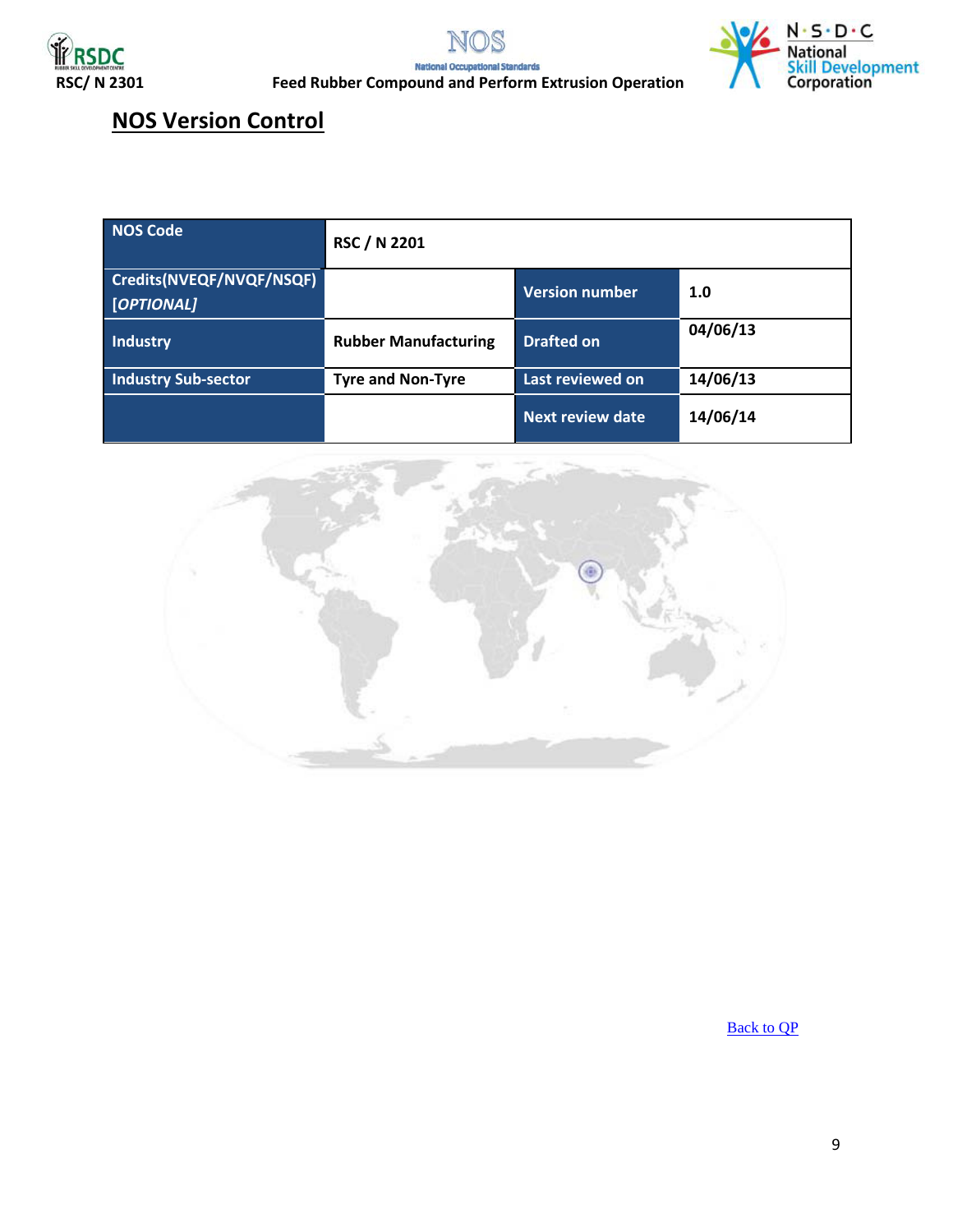





**RSPC**<br>RSC/ N 2301 **Feed Rubber Compound and Perform Extrusion Operation** 

### **NOS Version Control**

| <b>NOS Code</b>                        | <b>RSC / N 2201</b>         |                         |          |
|----------------------------------------|-----------------------------|-------------------------|----------|
| Credits(NVEQF/NVQF/NSQF)<br>[OPTIONAL] |                             | <b>Version number</b>   | 1.0      |
| <b>Industry</b>                        | <b>Rubber Manufacturing</b> | <b>Drafted on</b>       | 04/06/13 |
| <b>Industry Sub-sector</b>             | <b>Tyre and Non-Tyre</b>    | Last reviewed on        | 14/06/13 |
|                                        |                             | <b>Next review date</b> | 14/06/14 |

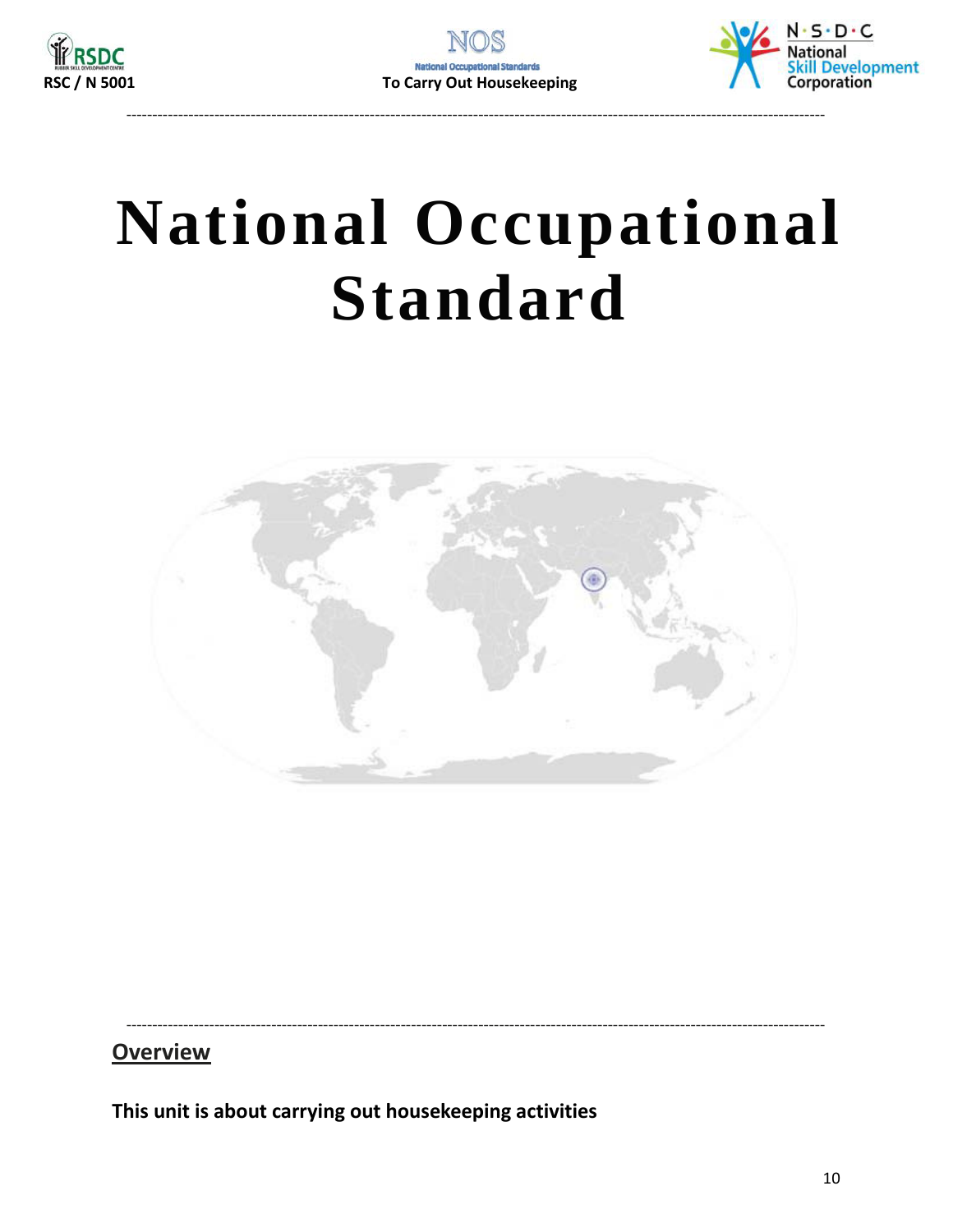



## <span id="page-9-0"></span>**National Occupational Standard**



### **Overview**

This unit is about carrying out housekeeping activities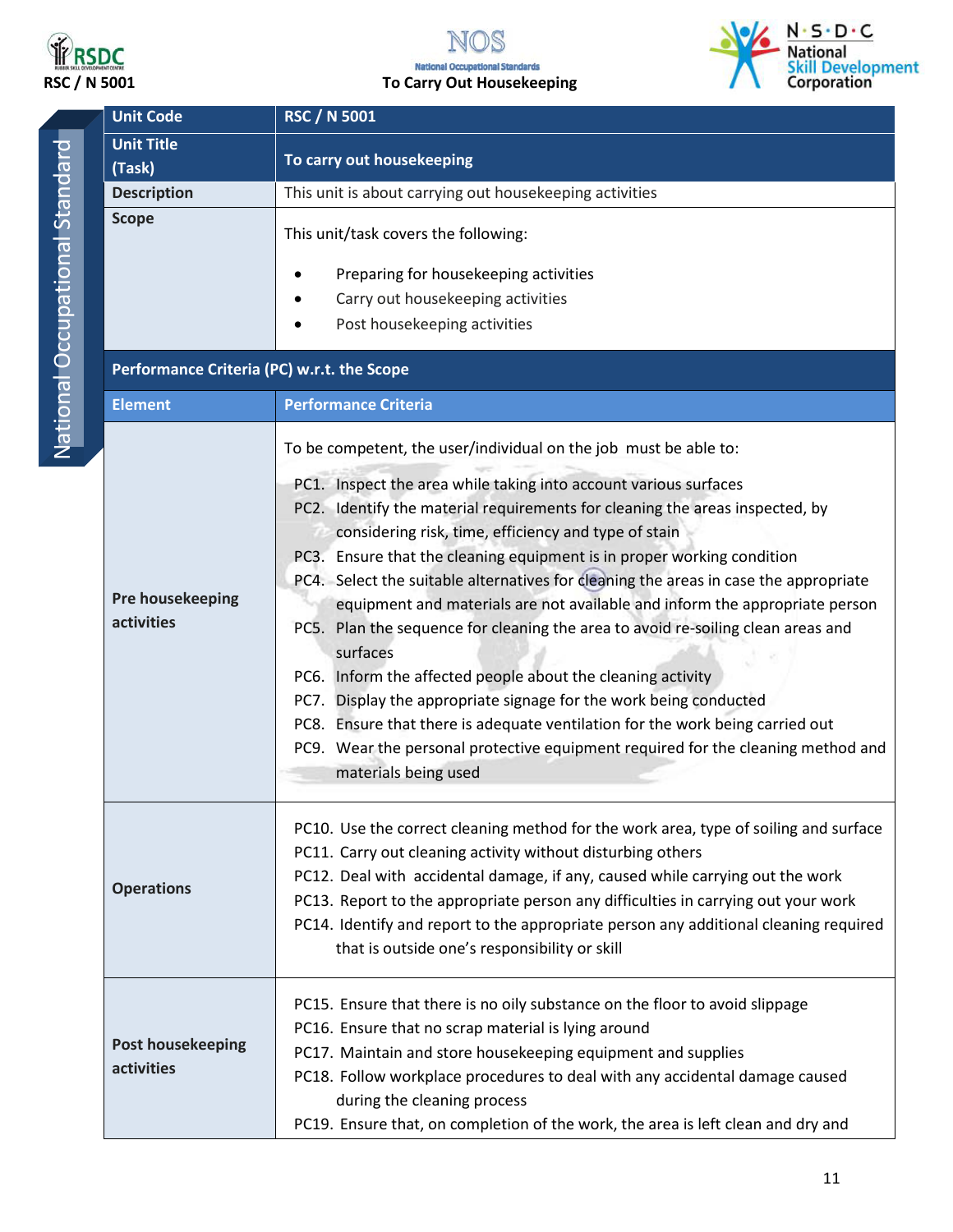



|                                | <b>Unit Code</b>                           | <b>RSC / N 5001</b>                                                                                                                                 |  |
|--------------------------------|--------------------------------------------|-----------------------------------------------------------------------------------------------------------------------------------------------------|--|
| National Occupational Standard | <b>Unit Title</b><br>(Task)                | To carry out housekeeping                                                                                                                           |  |
|                                | <b>Description</b>                         | This unit is about carrying out housekeeping activities                                                                                             |  |
|                                | <b>Scope</b>                               | This unit/task covers the following:                                                                                                                |  |
|                                |                                            | Preparing for housekeeping activities                                                                                                               |  |
|                                |                                            | Carry out housekeeping activities                                                                                                                   |  |
|                                |                                            | Post housekeeping activities                                                                                                                        |  |
|                                | Performance Criteria (PC) w.r.t. the Scope |                                                                                                                                                     |  |
|                                | <b>Element</b>                             | <b>Performance Criteria</b>                                                                                                                         |  |
|                                |                                            | To be competent, the user/individual on the job must be able to:                                                                                    |  |
|                                |                                            | PC1. Inspect the area while taking into account various surfaces                                                                                    |  |
|                                |                                            | PC2. Identify the material requirements for cleaning the areas inspected, by                                                                        |  |
|                                |                                            | considering risk, time, efficiency and type of stain                                                                                                |  |
|                                |                                            | PC3. Ensure that the cleaning equipment is in proper working condition                                                                              |  |
|                                | Pre housekeeping                           | PC4. Select the suitable alternatives for cleaning the areas in case the appropriate                                                                |  |
|                                | activities                                 | equipment and materials are not available and inform the appropriate person                                                                         |  |
|                                |                                            | PC5. Plan the sequence for cleaning the area to avoid re-soiling clean areas and                                                                    |  |
|                                |                                            | surfaces                                                                                                                                            |  |
|                                |                                            | PC6. Inform the affected people about the cleaning activity<br>PC7. Display the appropriate signage for the work being conducted                    |  |
|                                |                                            | PC8. Ensure that there is adequate ventilation for the work being carried out                                                                       |  |
|                                |                                            | PC9. Wear the personal protective equipment required for the cleaning method and                                                                    |  |
|                                |                                            | materials being used                                                                                                                                |  |
|                                |                                            |                                                                                                                                                     |  |
|                                |                                            | PC10. Use the correct cleaning method for the work area, type of soiling and surface<br>PC11. Carry out cleaning activity without disturbing others |  |
|                                |                                            | PC12. Deal with accidental damage, if any, caused while carrying out the work                                                                       |  |
|                                | <b>Operations</b>                          | PC13. Report to the appropriate person any difficulties in carrying out your work                                                                   |  |
|                                |                                            | PC14. Identify and report to the appropriate person any additional cleaning required                                                                |  |
|                                |                                            | that is outside one's responsibility or skill                                                                                                       |  |
|                                |                                            | PC15. Ensure that there is no oily substance on the floor to avoid slippage                                                                         |  |
|                                |                                            | PC16. Ensure that no scrap material is lying around                                                                                                 |  |
|                                | <b>Post housekeeping</b>                   | PC17. Maintain and store housekeeping equipment and supplies                                                                                        |  |
|                                | activities                                 | PC18. Follow workplace procedures to deal with any accidental damage caused                                                                         |  |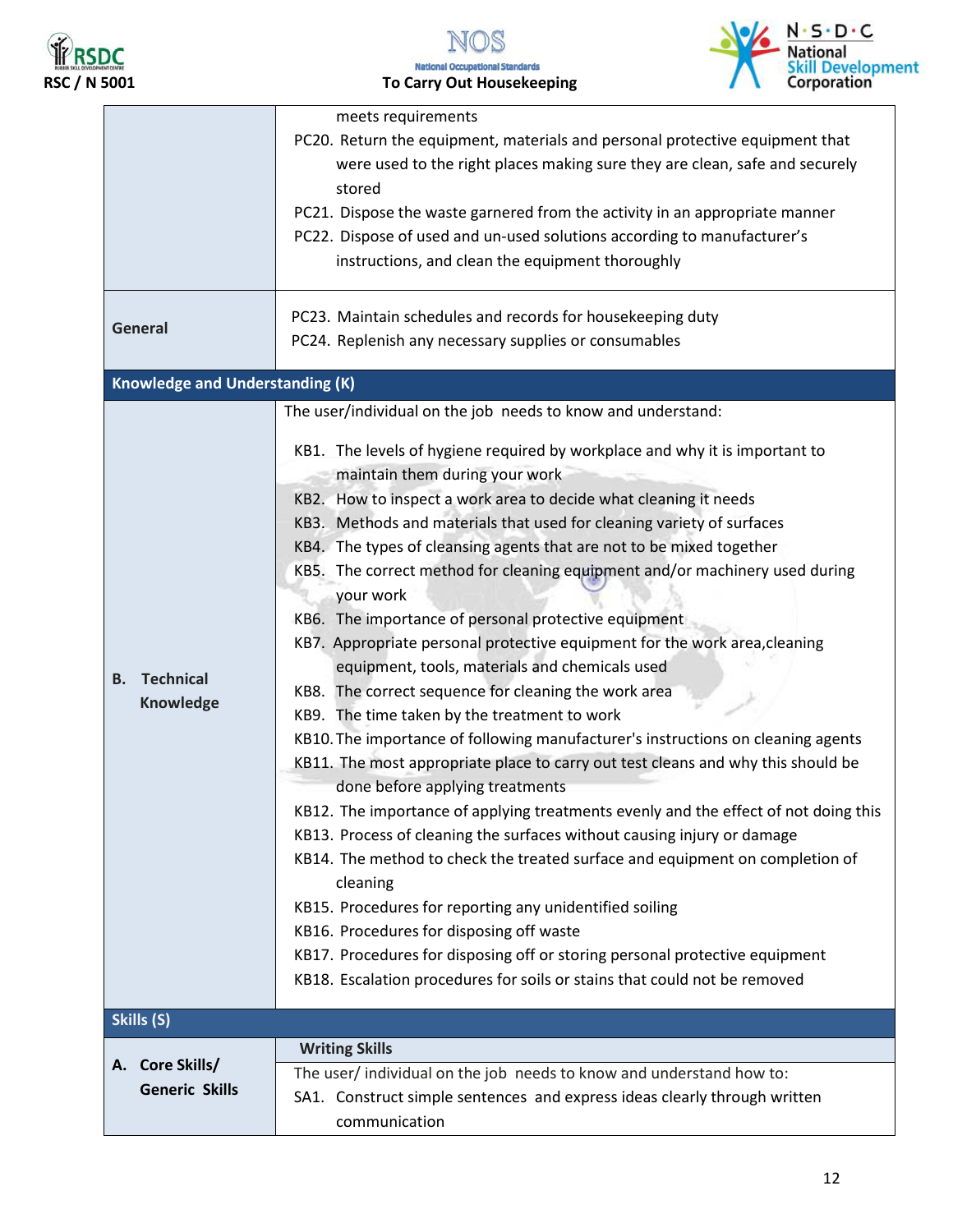





|                                            | meets requirements<br>PC20. Return the equipment, materials and personal protective equipment that<br>were used to the right places making sure they are clean, safe and securely<br>stored<br>PC21. Dispose the waste garnered from the activity in an appropriate manner<br>PC22. Dispose of used and un-used solutions according to manufacturer's<br>instructions, and clean the equipment thoroughly                                                                                                                                                                                                                                                                                                                                                                                                                                                                                                                                                                                                                                                                                                                                                                                                                                                                                                                                                                                                                                                                                                                                  |
|--------------------------------------------|--------------------------------------------------------------------------------------------------------------------------------------------------------------------------------------------------------------------------------------------------------------------------------------------------------------------------------------------------------------------------------------------------------------------------------------------------------------------------------------------------------------------------------------------------------------------------------------------------------------------------------------------------------------------------------------------------------------------------------------------------------------------------------------------------------------------------------------------------------------------------------------------------------------------------------------------------------------------------------------------------------------------------------------------------------------------------------------------------------------------------------------------------------------------------------------------------------------------------------------------------------------------------------------------------------------------------------------------------------------------------------------------------------------------------------------------------------------------------------------------------------------------------------------------|
| <b>General</b>                             | PC23. Maintain schedules and records for housekeeping duty<br>PC24. Replenish any necessary supplies or consumables                                                                                                                                                                                                                                                                                                                                                                                                                                                                                                                                                                                                                                                                                                                                                                                                                                                                                                                                                                                                                                                                                                                                                                                                                                                                                                                                                                                                                        |
| <b>Knowledge and Understanding (K)</b>     |                                                                                                                                                                                                                                                                                                                                                                                                                                                                                                                                                                                                                                                                                                                                                                                                                                                                                                                                                                                                                                                                                                                                                                                                                                                                                                                                                                                                                                                                                                                                            |
| <b>Technical</b><br>В.<br><b>Knowledge</b> | The user/individual on the job needs to know and understand:<br>KB1. The levels of hygiene required by workplace and why it is important to<br>maintain them during your work<br>KB2. How to inspect a work area to decide what cleaning it needs<br>KB3. Methods and materials that used for cleaning variety of surfaces<br>KB4. The types of cleansing agents that are not to be mixed together<br>KB5. The correct method for cleaning equipment and/or machinery used during<br>your work<br>KB6. The importance of personal protective equipment<br>KB7. Appropriate personal protective equipment for the work area, cleaning<br>equipment, tools, materials and chemicals used<br>KB8. The correct sequence for cleaning the work area<br>KB9. The time taken by the treatment to work<br>KB10. The importance of following manufacturer's instructions on cleaning agents<br>KB11. The most appropriate place to carry out test cleans and why this should be<br>done before applying treatments<br>KB12. The importance of applying treatments evenly and the effect of not doing this<br>KB13. Process of cleaning the surfaces without causing injury or damage<br>KB14. The method to check the treated surface and equipment on completion of<br>cleaning<br>KB15. Procedures for reporting any unidentified soiling<br>KB16. Procedures for disposing off waste<br>KB17. Procedures for disposing off or storing personal protective equipment<br>KB18. Escalation procedures for soils or stains that could not be removed |
| Skills (S)                                 |                                                                                                                                                                                                                                                                                                                                                                                                                                                                                                                                                                                                                                                                                                                                                                                                                                                                                                                                                                                                                                                                                                                                                                                                                                                                                                                                                                                                                                                                                                                                            |
| A. Core Skills/                            | <b>Writing Skills</b>                                                                                                                                                                                                                                                                                                                                                                                                                                                                                                                                                                                                                                                                                                                                                                                                                                                                                                                                                                                                                                                                                                                                                                                                                                                                                                                                                                                                                                                                                                                      |
| <b>Generic Skills</b>                      | The user/ individual on the job needs to know and understand how to:<br>SA1. Construct simple sentences and express ideas clearly through written<br>communication                                                                                                                                                                                                                                                                                                                                                                                                                                                                                                                                                                                                                                                                                                                                                                                                                                                                                                                                                                                                                                                                                                                                                                                                                                                                                                                                                                         |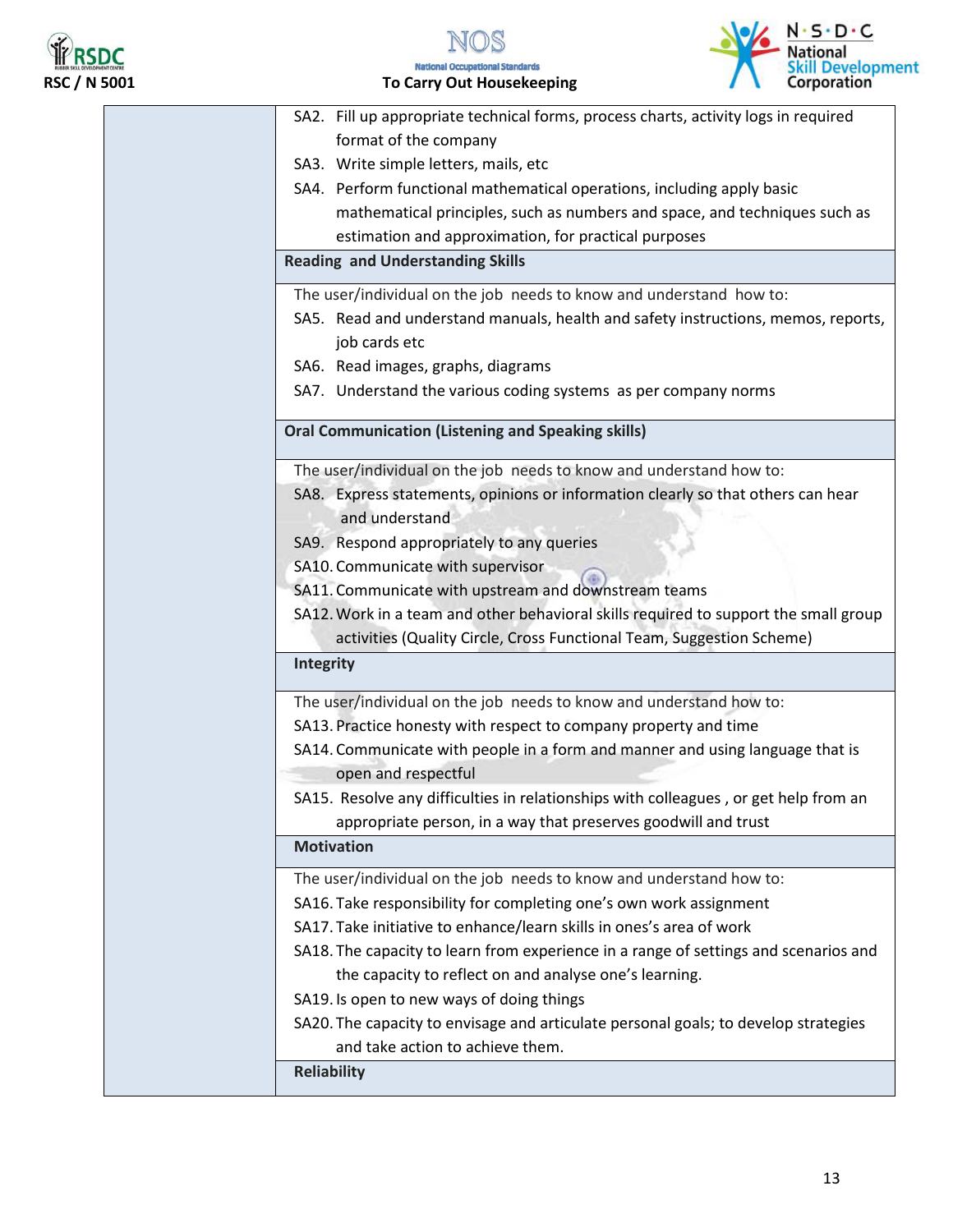

N.S.D.C.<br>National<br>Skill Development<br>Corporation

| SA2. Fill up appropriate technical forms, process charts, activity logs in required  |
|--------------------------------------------------------------------------------------|
| format of the company                                                                |
| SA3. Write simple letters, mails, etc                                                |
| SA4. Perform functional mathematical operations, including apply basic               |
| mathematical principles, such as numbers and space, and techniques such as           |
| estimation and approximation, for practical purposes                                 |
| <b>Reading and Understanding Skills</b>                                              |
| The user/individual on the job needs to know and understand how to:                  |
| SA5. Read and understand manuals, health and safety instructions, memos, reports,    |
| job cards etc                                                                        |
| SA6. Read images, graphs, diagrams                                                   |
| SA7. Understand the various coding systems as per company norms                      |
| <b>Oral Communication (Listening and Speaking skills)</b>                            |
| The user/individual on the job needs to know and understand how to:                  |
| SA8. Express statements, opinions or information clearly so that others can hear     |
| and understand                                                                       |
| SA9. Respond appropriately to any queries                                            |
| SA10. Communicate with supervisor                                                    |
| SA11. Communicate with upstream and downstream teams                                 |
| SA12. Work in a team and other behavioral skills required to support the small group |
| activities (Quality Circle, Cross Functional Team, Suggestion Scheme)                |
| Integrity                                                                            |
| The user/individual on the job needs to know and understand how to:                  |
| SA13. Practice honesty with respect to company property and time                     |
| SA14. Communicate with people in a form and manner and using language that is        |
| open and respectful                                                                  |
| SA15. Resolve any difficulties in relationships with colleagues, or get help from an |
| appropriate person, in a way that preserves goodwill and trust                       |
| <b>Motivation</b>                                                                    |
| The user/individual on the job needs to know and understand how to:                  |
| SA16. Take responsibility for completing one's own work assignment                   |
| SA17. Take initiative to enhance/learn skills in ones's area of work                 |
|                                                                                      |
| SA18. The capacity to learn from experience in a range of settings and scenarios and |
| the capacity to reflect on and analyse one's learning.                               |
| SA19. Is open to new ways of doing things                                            |
| SA20. The capacity to envisage and articulate personal goals; to develop strategies  |
| and take action to achieve them.                                                     |
| <b>Reliability</b>                                                                   |
|                                                                                      |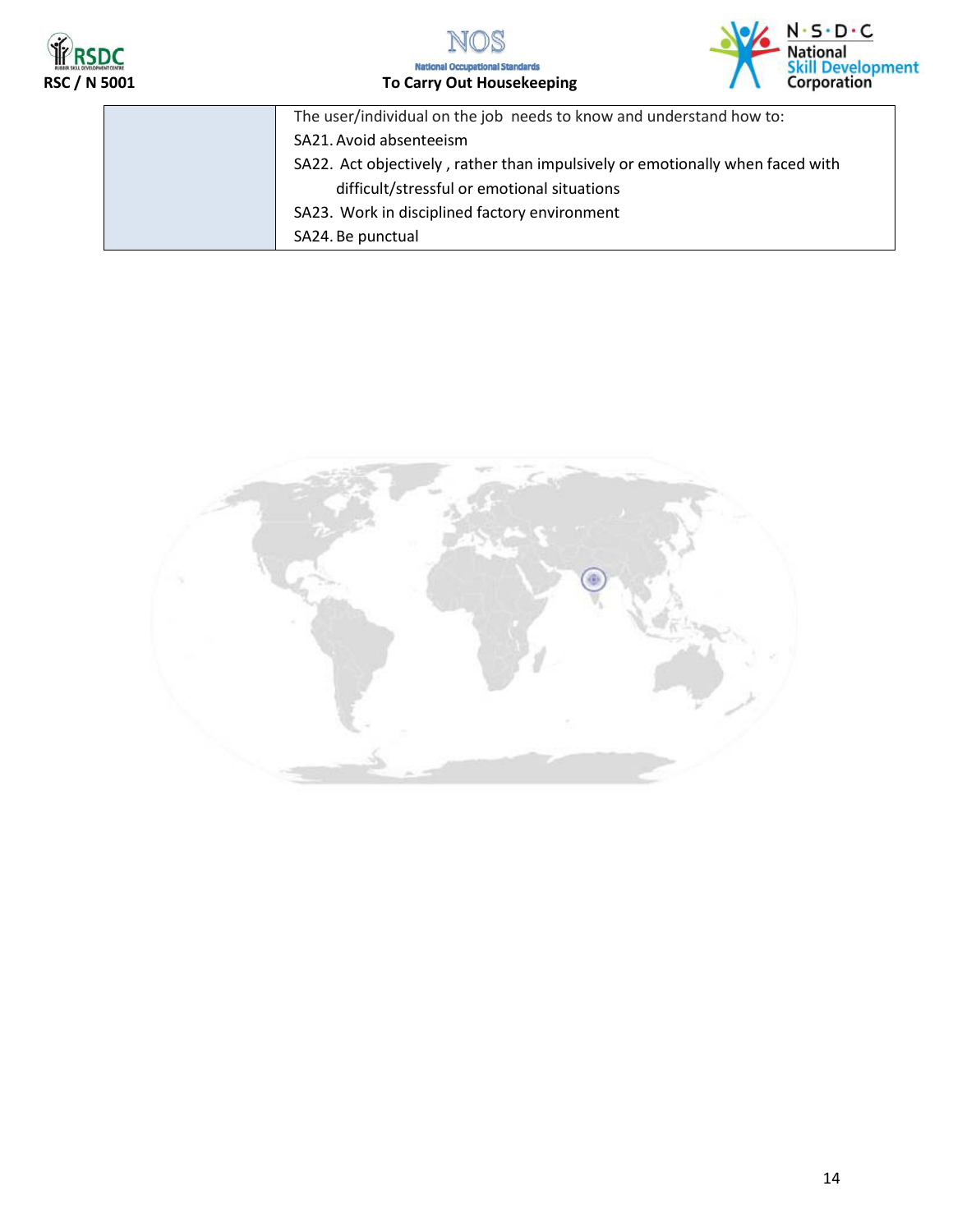





| The user/individual on the job needs to know and understand how to:           |
|-------------------------------------------------------------------------------|
| SA21. Avoid absenteeism                                                       |
| SA22. Act objectively, rather than impulsively or emotionally when faced with |
| difficult/stressful or emotional situations                                   |
| SA23. Work in disciplined factory environment                                 |
| SA24. Be punctual                                                             |

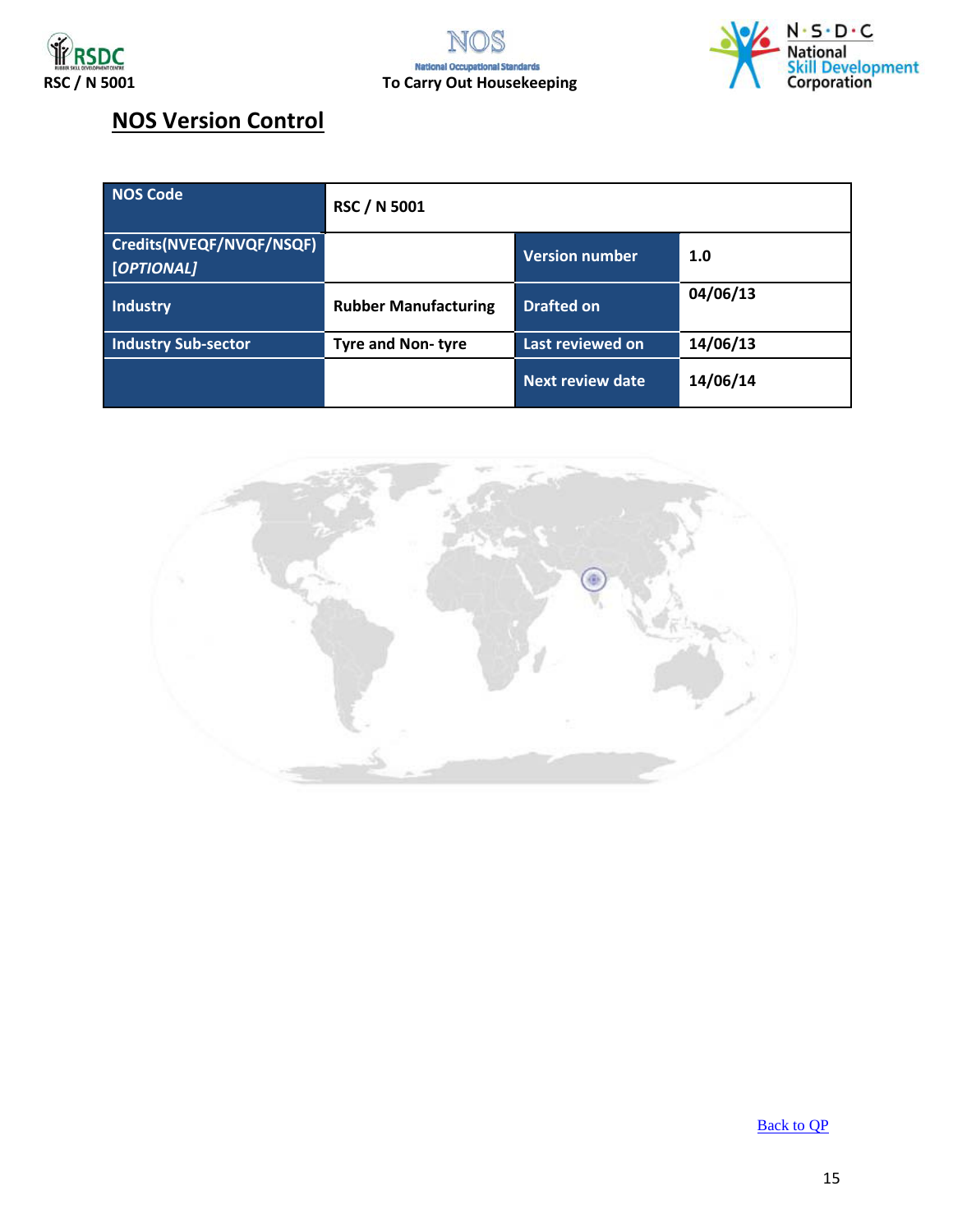



### **NOS Version Control**

| NOS Code                               | <b>RSC / N 5001</b>         |                         |          |
|----------------------------------------|-----------------------------|-------------------------|----------|
| Credits(NVEQF/NVQF/NSQF)<br>[OPTIONAL] |                             | <b>Version number</b>   | 1.0      |
| Industry                               | <b>Rubber Manufacturing</b> | <b>Drafted on</b>       | 04/06/13 |
| <b>Industry Sub-sector</b>             | <b>Tyre and Non-tyre</b>    | Last reviewed on        | 14/06/13 |
|                                        |                             | <b>Next review date</b> | 14/06/14 |

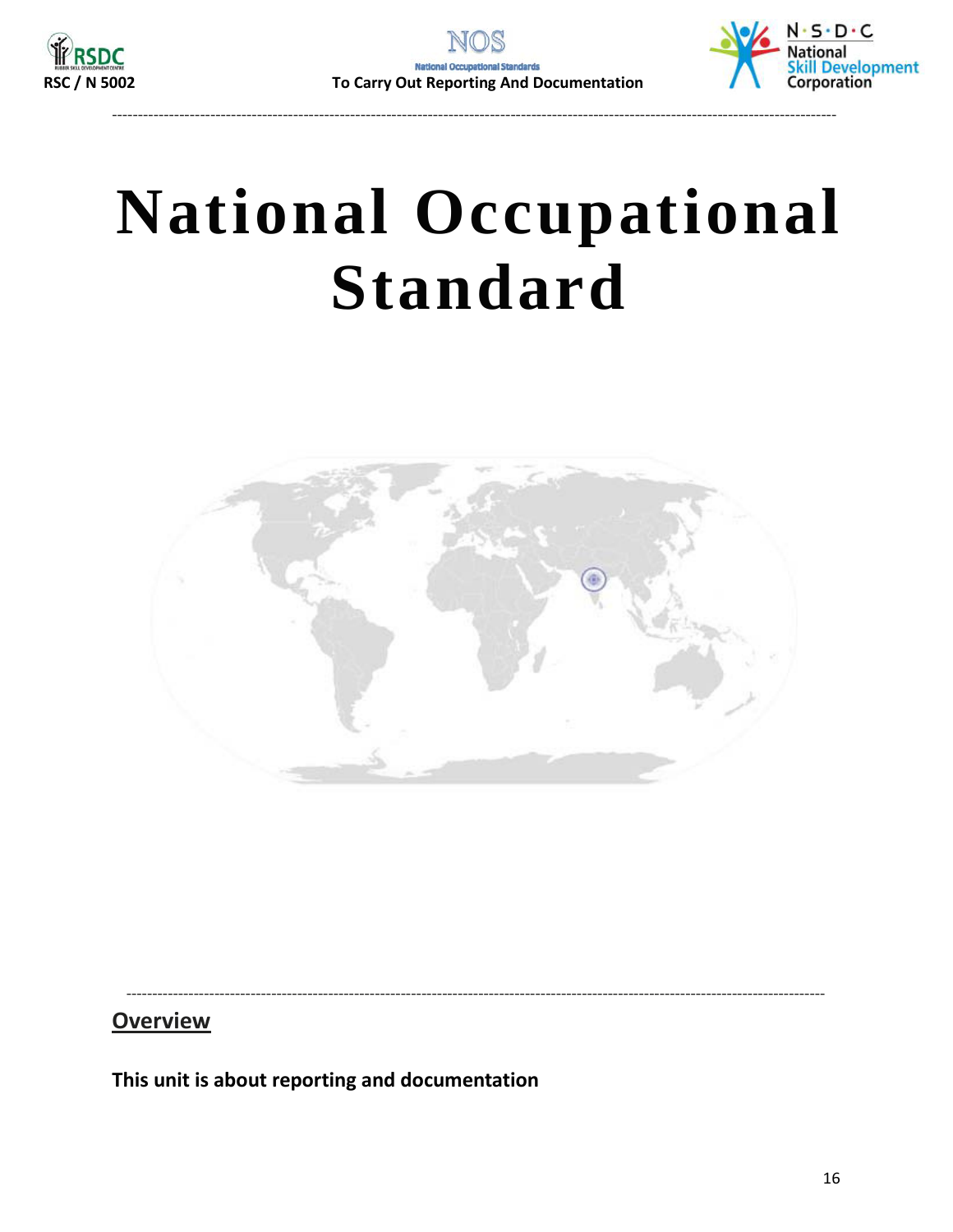

--------------------------------------------------------------------------------------------------------------------------------------------



# <span id="page-15-0"></span>**National Occupational Standard**



---------------------------------------------------------------------------------------------------------------------------------------

**Overview** 

**This unit is about reporting and documentation**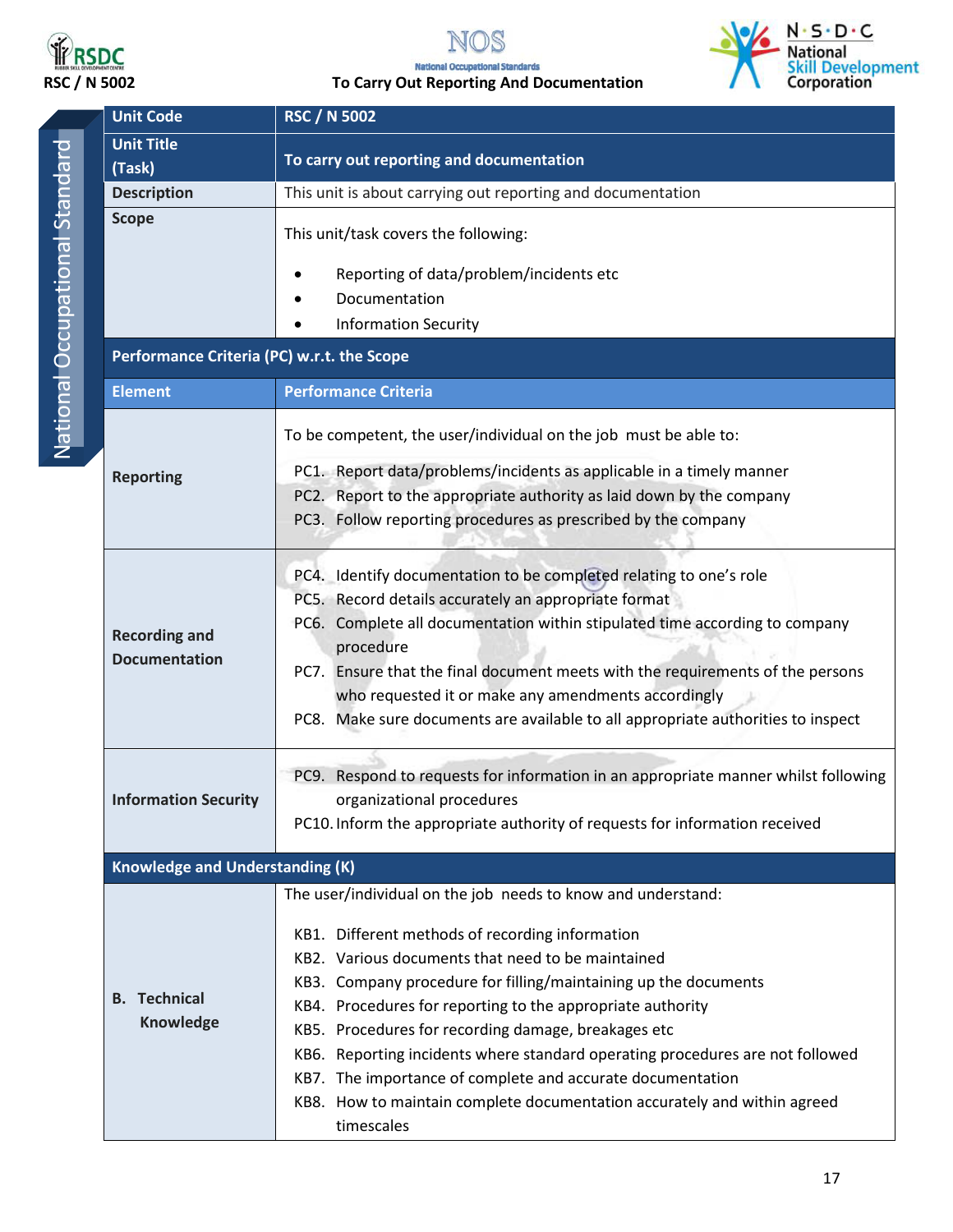



**RSDC**<br>RSC / N 5002 To Carry Out Reporting And Documentation



|                                                | <b>Unit Code</b>                             | <b>RSC / N 5002</b>                                                                                                                                                                                                                                                                                                                                                                                                                                                                                                                                                                                   |  |  |
|------------------------------------------------|----------------------------------------------|-------------------------------------------------------------------------------------------------------------------------------------------------------------------------------------------------------------------------------------------------------------------------------------------------------------------------------------------------------------------------------------------------------------------------------------------------------------------------------------------------------------------------------------------------------------------------------------------------------|--|--|
|                                                | <b>Unit Title</b><br>(Task)                  | To carry out reporting and documentation                                                                                                                                                                                                                                                                                                                                                                                                                                                                                                                                                              |  |  |
|                                                | <b>Description</b>                           | This unit is about carrying out reporting and documentation                                                                                                                                                                                                                                                                                                                                                                                                                                                                                                                                           |  |  |
| National Occupational Standard<br><b>Scope</b> |                                              | This unit/task covers the following:<br>Reporting of data/problem/incidents etc<br>Documentation                                                                                                                                                                                                                                                                                                                                                                                                                                                                                                      |  |  |
|                                                |                                              | <b>Information Security</b>                                                                                                                                                                                                                                                                                                                                                                                                                                                                                                                                                                           |  |  |
|                                                |                                              |                                                                                                                                                                                                                                                                                                                                                                                                                                                                                                                                                                                                       |  |  |
|                                                | Performance Criteria (PC) w.r.t. the Scope   |                                                                                                                                                                                                                                                                                                                                                                                                                                                                                                                                                                                                       |  |  |
|                                                | <b>Element</b>                               | <b>Performance Criteria</b>                                                                                                                                                                                                                                                                                                                                                                                                                                                                                                                                                                           |  |  |
|                                                | <b>Reporting</b>                             | To be competent, the user/individual on the job must be able to:<br>PC1. Report data/problems/incidents as applicable in a timely manner<br>PC2. Report to the appropriate authority as laid down by the company<br>PC3. Follow reporting procedures as prescribed by the company                                                                                                                                                                                                                                                                                                                     |  |  |
|                                                | <b>Recording and</b><br><b>Documentation</b> | PC4. Identify documentation to be completed relating to one's role<br>PC5. Record details accurately an appropriate format<br>PC6. Complete all documentation within stipulated time according to company<br>procedure<br>PC7. Ensure that the final document meets with the requirements of the persons<br>who requested it or make any amendments accordingly<br>PC8. Make sure documents are available to all appropriate authorities to inspect                                                                                                                                                   |  |  |
|                                                | <b>Information Security</b>                  | PC9. Respond to requests for information in an appropriate manner whilst following<br>organizational procedures<br>PC10. Inform the appropriate authority of requests for information received                                                                                                                                                                                                                                                                                                                                                                                                        |  |  |
|                                                | <b>Knowledge and Understanding (K)</b>       |                                                                                                                                                                                                                                                                                                                                                                                                                                                                                                                                                                                                       |  |  |
|                                                | <b>B.</b> Technical<br>Knowledge             | The user/individual on the job needs to know and understand:<br>KB1. Different methods of recording information<br>KB2. Various documents that need to be maintained<br>KB3. Company procedure for filling/maintaining up the documents<br>KB4. Procedures for reporting to the appropriate authority<br>KB5. Procedures for recording damage, breakages etc<br>KB6. Reporting incidents where standard operating procedures are not followed<br>KB7. The importance of complete and accurate documentation<br>KB8. How to maintain complete documentation accurately and within agreed<br>timescales |  |  |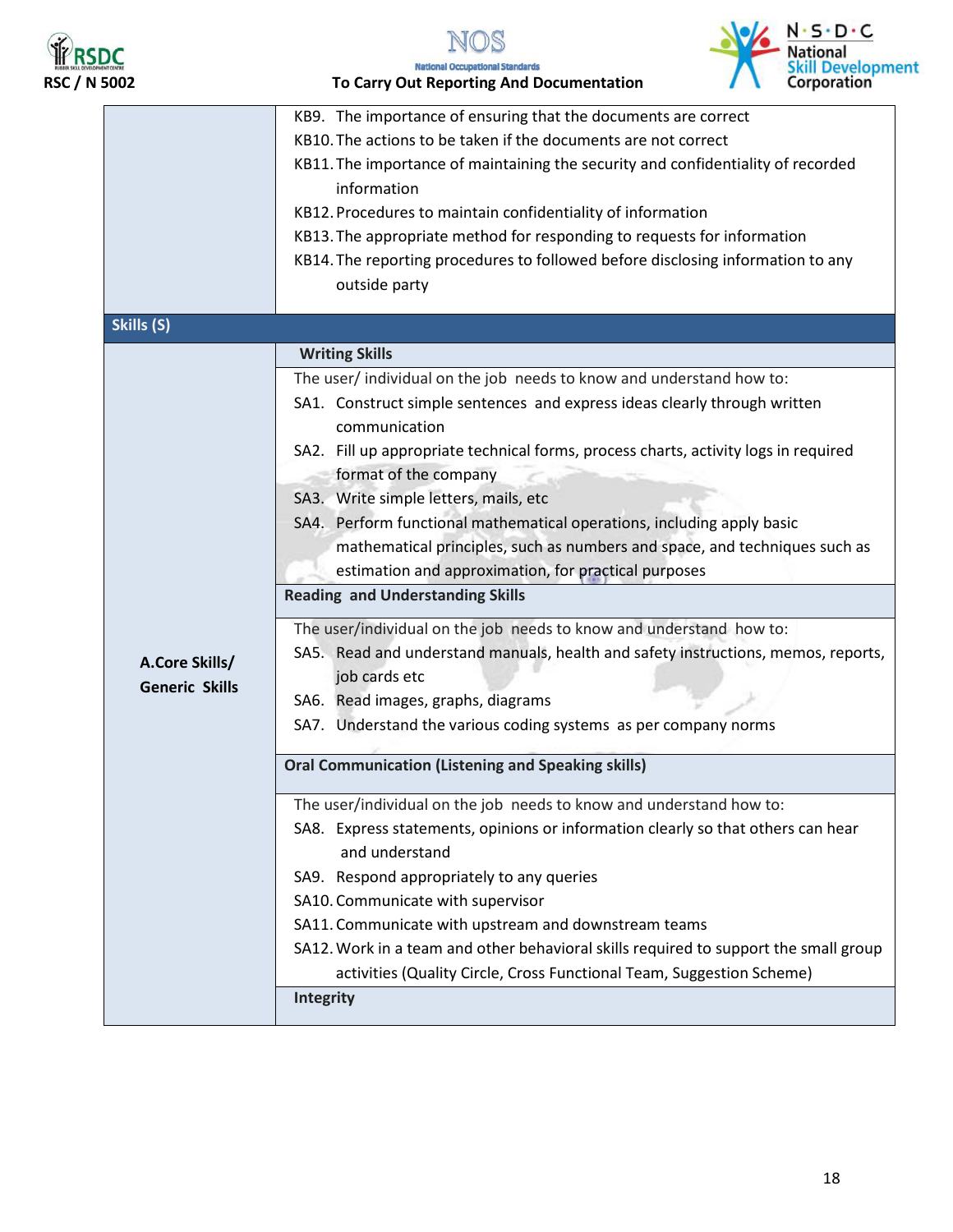





|                       | KB9. The importance of ensuring that the documents are correct                                  |  |  |  |
|-----------------------|-------------------------------------------------------------------------------------------------|--|--|--|
|                       | KB10. The actions to be taken if the documents are not correct                                  |  |  |  |
|                       | KB11. The importance of maintaining the security and confidentiality of recorded<br>information |  |  |  |
|                       | KB12. Procedures to maintain confidentiality of information                                     |  |  |  |
|                       | KB13. The appropriate method for responding to requests for information                         |  |  |  |
|                       |                                                                                                 |  |  |  |
|                       | KB14. The reporting procedures to followed before disclosing information to any                 |  |  |  |
|                       | outside party                                                                                   |  |  |  |
| Skills (S)            |                                                                                                 |  |  |  |
|                       | <b>Writing Skills</b>                                                                           |  |  |  |
|                       | The user/individual on the job needs to know and understand how to:                             |  |  |  |
|                       | SA1. Construct simple sentences and express ideas clearly through written                       |  |  |  |
|                       | communication                                                                                   |  |  |  |
|                       | SA2. Fill up appropriate technical forms, process charts, activity logs in required             |  |  |  |
|                       | format of the company                                                                           |  |  |  |
|                       | SA3. Write simple letters, mails, etc                                                           |  |  |  |
|                       | SA4. Perform functional mathematical operations, including apply basic                          |  |  |  |
|                       | mathematical principles, such as numbers and space, and techniques such as                      |  |  |  |
|                       | estimation and approximation, for practical purposes                                            |  |  |  |
|                       | <b>Reading and Understanding Skills</b>                                                         |  |  |  |
|                       | The user/individual on the job needs to know and understand how to:                             |  |  |  |
|                       | SA5. Read and understand manuals, health and safety instructions, memos, reports,               |  |  |  |
| A.Core Skills/        | job cards etc                                                                                   |  |  |  |
| <b>Generic Skills</b> | SA6. Read images, graphs, diagrams                                                              |  |  |  |
|                       | SA7. Understand the various coding systems as per company norms                                 |  |  |  |
|                       |                                                                                                 |  |  |  |
|                       | <b>Oral Communication (Listening and Speaking skills)</b>                                       |  |  |  |
|                       | The user/individual on the job needs to know and understand how to:                             |  |  |  |
|                       | SA8. Express statements, opinions or information clearly so that others can hear                |  |  |  |
|                       | and understand                                                                                  |  |  |  |
|                       | SA9. Respond appropriately to any queries                                                       |  |  |  |
|                       | SA10. Communicate with supervisor                                                               |  |  |  |
|                       | SA11. Communicate with upstream and downstream teams                                            |  |  |  |
|                       | SA12. Work in a team and other behavioral skills required to support the small group            |  |  |  |
|                       | activities (Quality Circle, Cross Functional Team, Suggestion Scheme)                           |  |  |  |
|                       | Integrity                                                                                       |  |  |  |
|                       |                                                                                                 |  |  |  |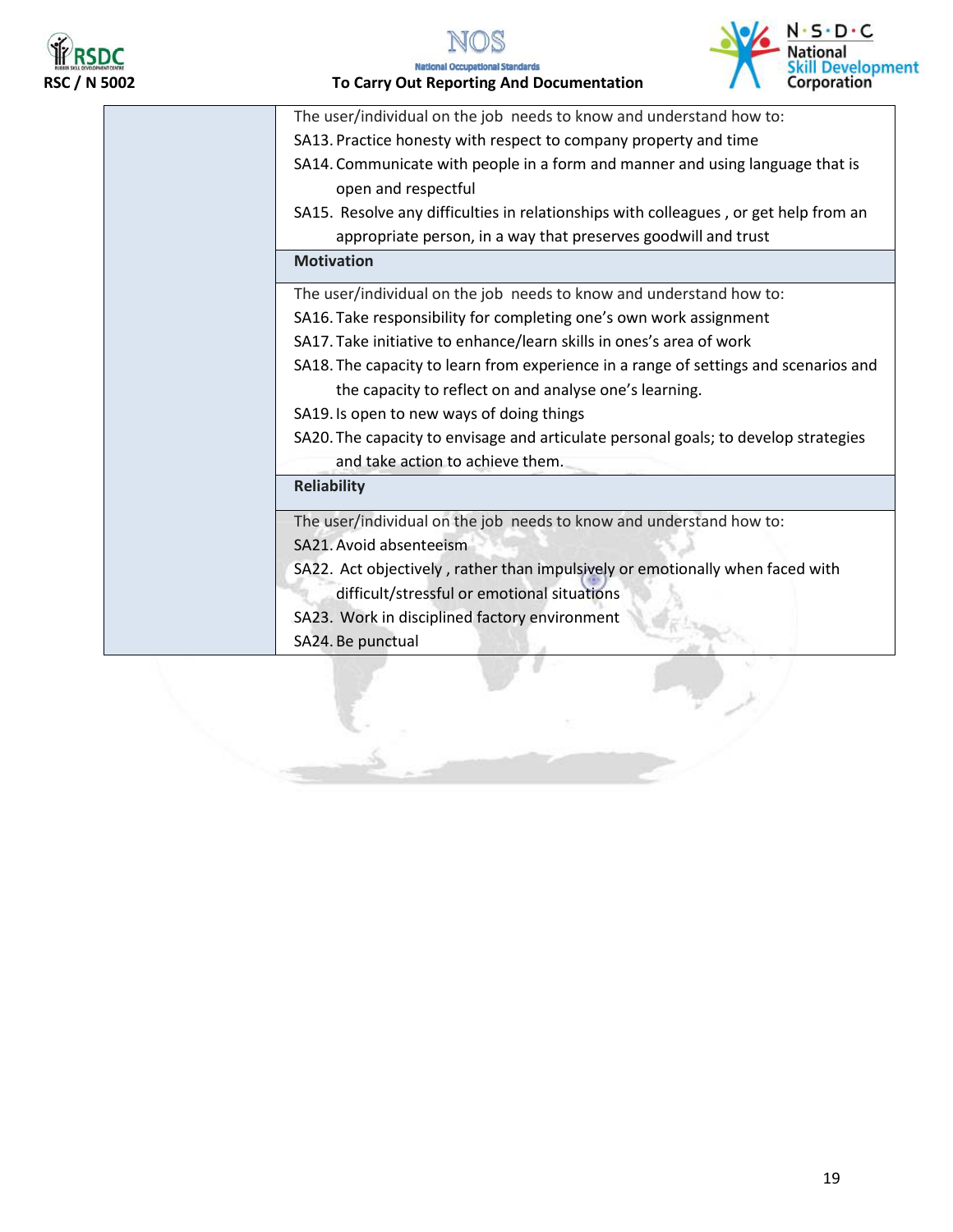



### **RSPC**<br>RSC / N 5002 To Carry Out Reporting And Documentation



| The user/individual on the job needs to know and understand how to:                  |
|--------------------------------------------------------------------------------------|
| SA13. Practice honesty with respect to company property and time                     |
| SA14. Communicate with people in a form and manner and using language that is        |
| open and respectful                                                                  |
| SA15. Resolve any difficulties in relationships with colleagues, or get help from an |
| appropriate person, in a way that preserves goodwill and trust                       |
| <b>Motivation</b>                                                                    |
| The user/individual on the job needs to know and understand how to:                  |
| SA16. Take responsibility for completing one's own work assignment                   |
| SA17. Take initiative to enhance/learn skills in ones's area of work                 |
| SA18. The capacity to learn from experience in a range of settings and scenarios and |
| the capacity to reflect on and analyse one's learning.                               |
| SA19. Is open to new ways of doing things                                            |
| SA20. The capacity to envisage and articulate personal goals; to develop strategies  |
| and take action to achieve them.                                                     |
| <b>Reliability</b>                                                                   |
| The user/individual on the job needs to know and understand how to:                  |
| SA21. Avoid absenteeism                                                              |
| SA22. Act objectively, rather than impulsively or emotionally when faced with        |
| difficult/stressful or emotional situations                                          |
| SA23. Work in disciplined factory environment                                        |
| SA24. Be punctual                                                                    |
|                                                                                      |
|                                                                                      |
|                                                                                      |
|                                                                                      |
|                                                                                      |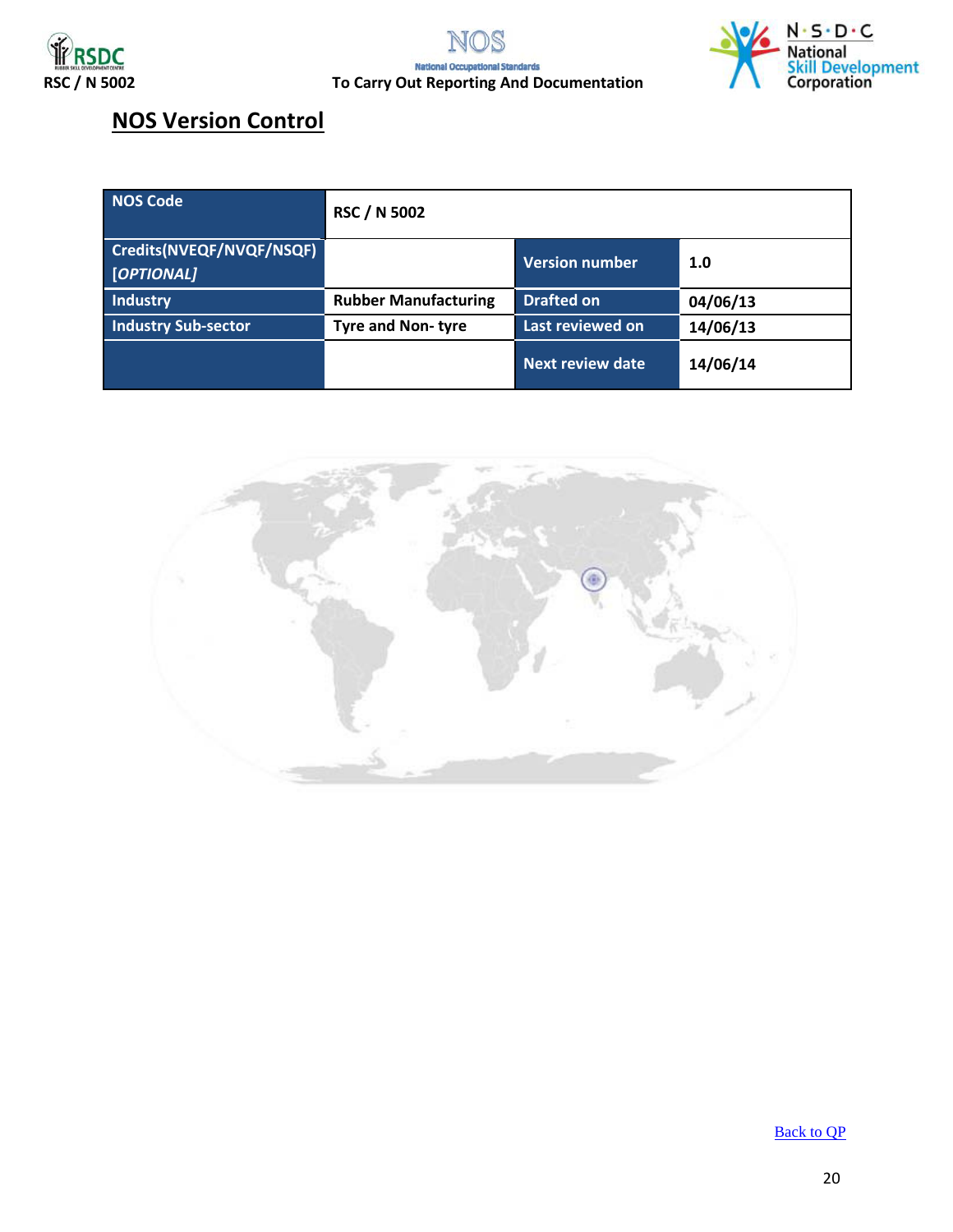





### **NOS Version Control**

| <b>NOS Code</b>                        | <b>RSC / N 5002</b>         |                         |          |
|----------------------------------------|-----------------------------|-------------------------|----------|
| Credits(NVEQF/NVQF/NSQF)<br>[OPTIONAL] |                             | <b>Version number</b>   | 1.0      |
| Industry                               | <b>Rubber Manufacturing</b> | <b>Drafted on</b>       | 04/06/13 |
| <b>Industry Sub-sector</b>             | <b>Tyre and Non-tyre</b>    | Last reviewed on        | 14/06/13 |
|                                        |                             | <b>Next review date</b> | 14/06/14 |

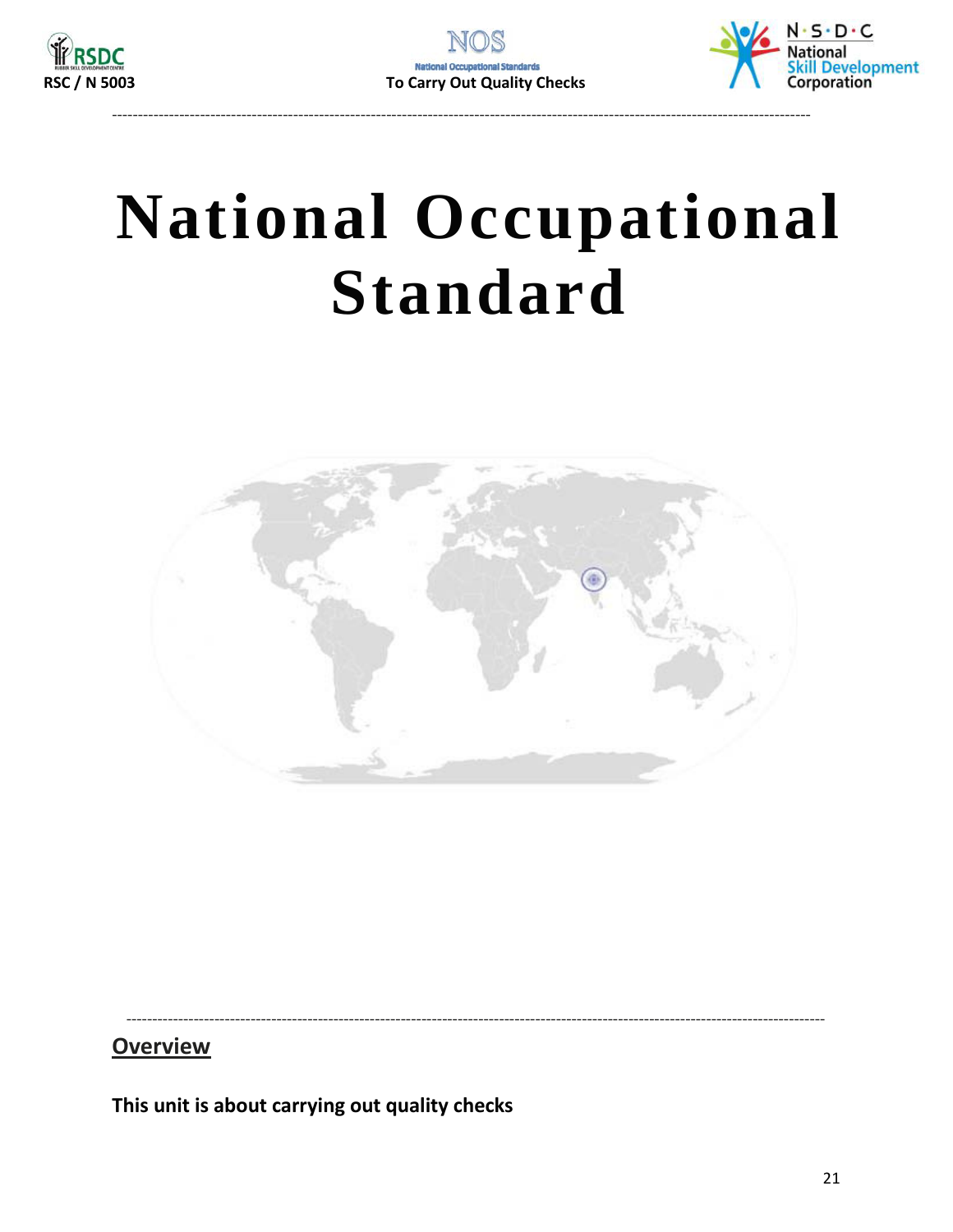



## **National Occupational Standard**



**Overview** 

This unit is about carrying out quality checks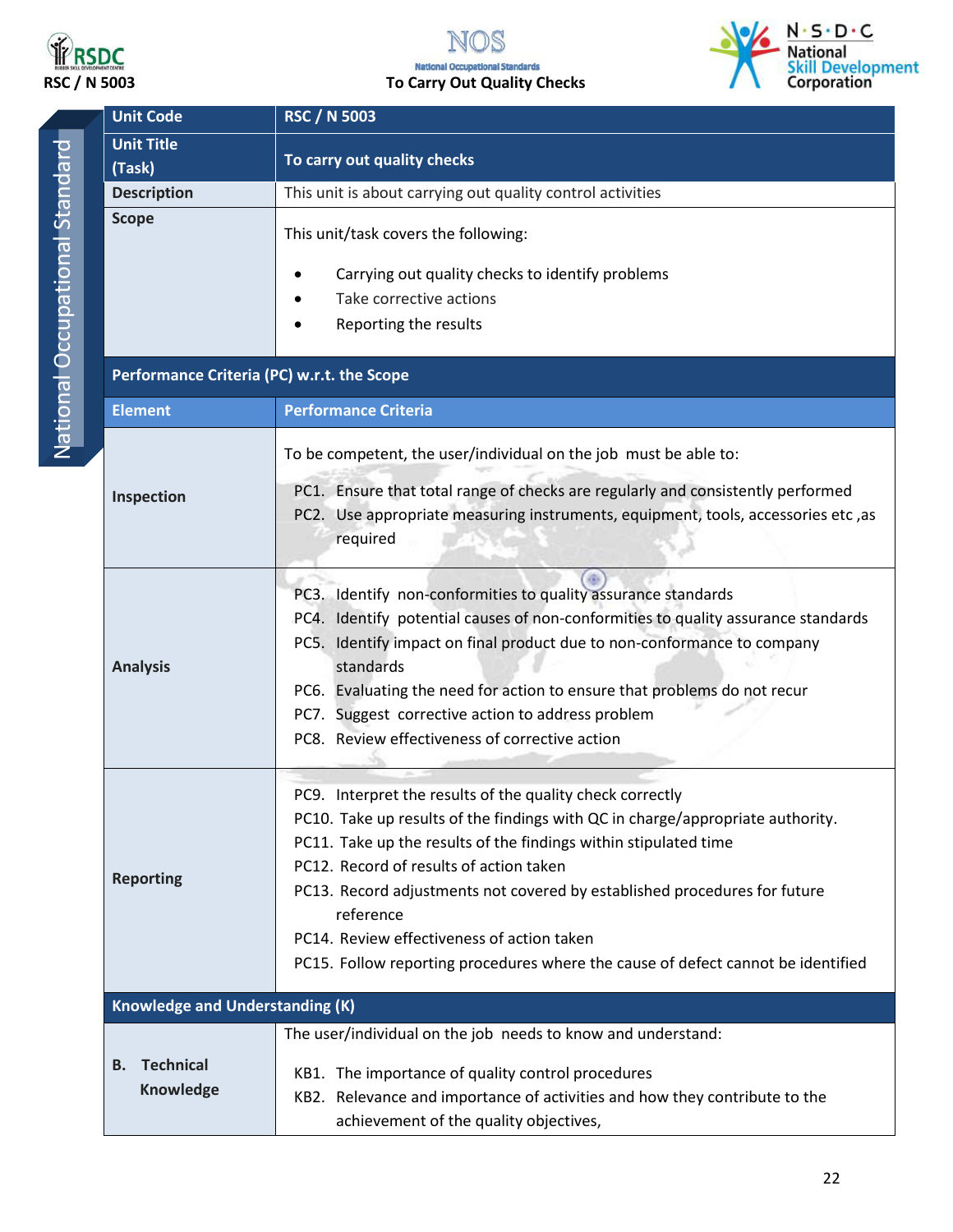

#### N **RSDC**<br>RSC / N 5003 **RSC / N 5003**<br>RSC / N 5003 **To Carry Out Quality Checks** S



| ï |  |
|---|--|
|   |  |
|   |  |
|   |  |
|   |  |
| í |  |
|   |  |
|   |  |
| j |  |
|   |  |
| I |  |
| I |  |
| I |  |
|   |  |
| I |  |
| I |  |
|   |  |
| ł |  |
| ļ |  |
|   |  |
| Ó |  |
|   |  |
|   |  |
|   |  |
|   |  |
|   |  |
|   |  |
|   |  |
|   |  |
|   |  |
|   |  |

| <b>Unit Code</b>                           | <b>RSC / N 5003</b>                                                                                                                                                                                                                                                                                                                                                                                                                                                                    |  |  |  |
|--------------------------------------------|----------------------------------------------------------------------------------------------------------------------------------------------------------------------------------------------------------------------------------------------------------------------------------------------------------------------------------------------------------------------------------------------------------------------------------------------------------------------------------------|--|--|--|
| <b>Unit Title</b>                          |                                                                                                                                                                                                                                                                                                                                                                                                                                                                                        |  |  |  |
| (Task)                                     | To carry out quality checks                                                                                                                                                                                                                                                                                                                                                                                                                                                            |  |  |  |
| <b>Description</b>                         | This unit is about carrying out quality control activities                                                                                                                                                                                                                                                                                                                                                                                                                             |  |  |  |
| <b>Scope</b>                               | This unit/task covers the following:<br>Carrying out quality checks to identify problems<br>Take corrective actions<br>Reporting the results                                                                                                                                                                                                                                                                                                                                           |  |  |  |
| Performance Criteria (PC) w.r.t. the Scope |                                                                                                                                                                                                                                                                                                                                                                                                                                                                                        |  |  |  |
| <b>Element</b>                             | <b>Performance Criteria</b>                                                                                                                                                                                                                                                                                                                                                                                                                                                            |  |  |  |
| Inspection                                 | To be competent, the user/individual on the job must be able to:<br>PC1. Ensure that total range of checks are regularly and consistently performed<br>PC2. Use appropriate measuring instruments, equipment, tools, accessories etc, as<br>required                                                                                                                                                                                                                                   |  |  |  |
|                                            |                                                                                                                                                                                                                                                                                                                                                                                                                                                                                        |  |  |  |
| <b>Analysis</b>                            | PC3. Identify non-conformities to quality assurance standards<br>PC4. Identify potential causes of non-conformities to quality assurance standards<br>PC5. Identify impact on final product due to non-conformance to company<br>standards<br>PC6. Evaluating the need for action to ensure that problems do not recur<br>PC7. Suggest corrective action to address problem<br>PC8. Review effectiveness of corrective action                                                          |  |  |  |
| <b>Reporting</b>                           | PC9. Interpret the results of the quality check correctly<br>PC10. Take up results of the findings with QC in charge/appropriate authority.<br>PC11. Take up the results of the findings within stipulated time<br>PC12. Record of results of action taken<br>PC13. Record adjustments not covered by established procedures for future<br>reference<br>PC14. Review effectiveness of action taken<br>PC15. Follow reporting procedures where the cause of defect cannot be identified |  |  |  |
| <b>Knowledge and Understanding (K)</b>     |                                                                                                                                                                                                                                                                                                                                                                                                                                                                                        |  |  |  |
| <b>Technical</b><br>В.<br>Knowledge        | The user/individual on the job needs to know and understand:<br>KB1. The importance of quality control procedures<br>KB2. Relevance and importance of activities and how they contribute to the<br>achievement of the quality objectives,                                                                                                                                                                                                                                              |  |  |  |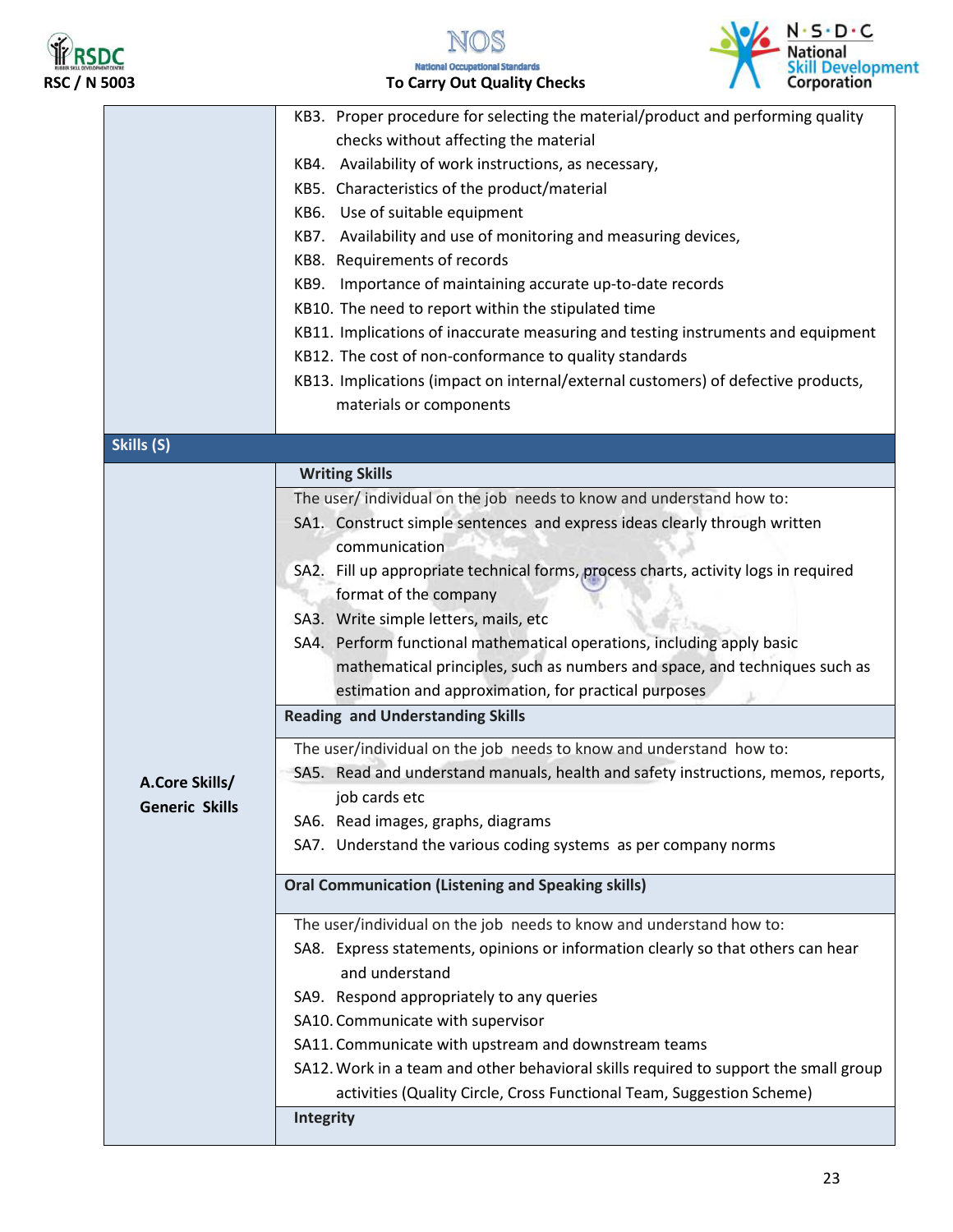





|                       | KB3. Proper procedure for selecting the material/product and performing quality                                                         |  |  |  |
|-----------------------|-----------------------------------------------------------------------------------------------------------------------------------------|--|--|--|
|                       | checks without affecting the material                                                                                                   |  |  |  |
|                       | KB4. Availability of work instructions, as necessary,                                                                                   |  |  |  |
|                       | KB5. Characteristics of the product/material                                                                                            |  |  |  |
|                       | KB6. Use of suitable equipment                                                                                                          |  |  |  |
|                       | KB7. Availability and use of monitoring and measuring devices,                                                                          |  |  |  |
|                       | KB8. Requirements of records                                                                                                            |  |  |  |
|                       | KB9. Importance of maintaining accurate up-to-date records                                                                              |  |  |  |
|                       | KB10. The need to report within the stipulated time<br>KB11. Implications of inaccurate measuring and testing instruments and equipment |  |  |  |
|                       |                                                                                                                                         |  |  |  |
|                       | KB12. The cost of non-conformance to quality standards                                                                                  |  |  |  |
|                       | KB13. Implications (impact on internal/external customers) of defective products,                                                       |  |  |  |
|                       | materials or components                                                                                                                 |  |  |  |
|                       |                                                                                                                                         |  |  |  |
| Skills (S)            |                                                                                                                                         |  |  |  |
|                       | <b>Writing Skills</b>                                                                                                                   |  |  |  |
|                       | The user/ individual on the job needs to know and understand how to:                                                                    |  |  |  |
|                       | SA1. Construct simple sentences and express ideas clearly through written                                                               |  |  |  |
|                       | communication                                                                                                                           |  |  |  |
|                       | SA2. Fill up appropriate technical forms, process charts, activity logs in required                                                     |  |  |  |
|                       | format of the company                                                                                                                   |  |  |  |
|                       | SA3. Write simple letters, mails, etc                                                                                                   |  |  |  |
|                       | SA4. Perform functional mathematical operations, including apply basic                                                                  |  |  |  |
|                       | mathematical principles, such as numbers and space, and techniques such as                                                              |  |  |  |
|                       | estimation and approximation, for practical purposes                                                                                    |  |  |  |
|                       | <b>Reading and Understanding Skills</b>                                                                                                 |  |  |  |
|                       |                                                                                                                                         |  |  |  |
|                       | The user/individual on the job needs to know and understand how to:                                                                     |  |  |  |
| A.Core Skills/        | SA5. Read and understand manuals, health and safety instructions, memos, reports,                                                       |  |  |  |
| <b>Generic Skills</b> | job cards etc                                                                                                                           |  |  |  |
|                       | SA6. Read images, graphs, diagrams                                                                                                      |  |  |  |
|                       | SA7. Understand the various coding systems as per company norms                                                                         |  |  |  |
|                       | <b>Oral Communication (Listening and Speaking skills)</b>                                                                               |  |  |  |
|                       | The user/individual on the job needs to know and understand how to:                                                                     |  |  |  |
|                       | SA8. Express statements, opinions or information clearly so that others can hear                                                        |  |  |  |
|                       | and understand                                                                                                                          |  |  |  |
|                       | SA9. Respond appropriately to any queries                                                                                               |  |  |  |
|                       | SA10. Communicate with supervisor                                                                                                       |  |  |  |
|                       | SA11. Communicate with upstream and downstream teams                                                                                    |  |  |  |
|                       | SA12. Work in a team and other behavioral skills required to support the small group                                                    |  |  |  |
|                       | activities (Quality Circle, Cross Functional Team, Suggestion Scheme)                                                                   |  |  |  |
|                       | <b>Integrity</b>                                                                                                                        |  |  |  |
|                       |                                                                                                                                         |  |  |  |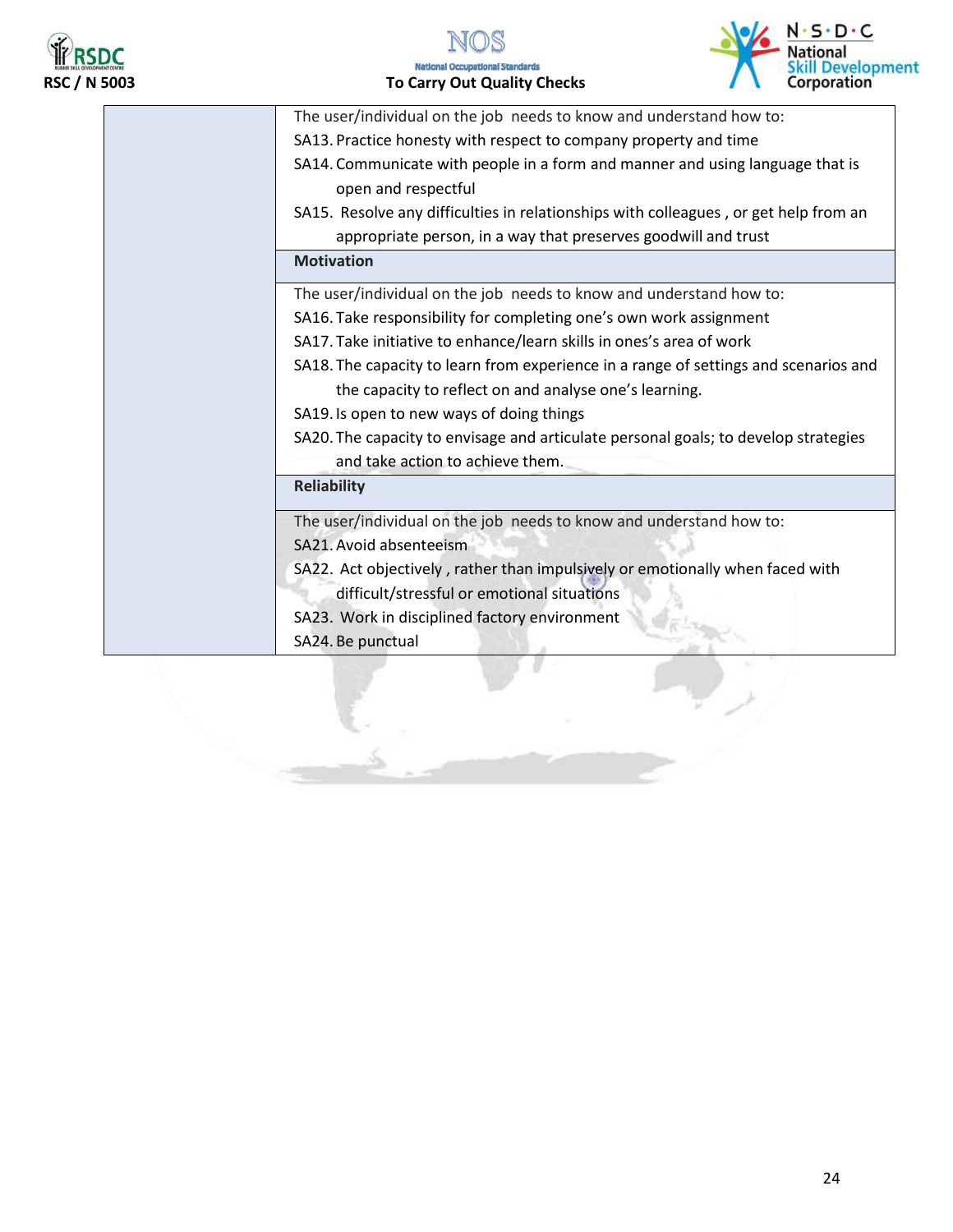





| The user/individual on the job needs to know and understand how to:                                  |
|------------------------------------------------------------------------------------------------------|
|                                                                                                      |
| SA13. Practice honesty with respect to company property and time                                     |
| SA14. Communicate with people in a form and manner and using language that is<br>open and respectful |
| SA15. Resolve any difficulties in relationships with colleagues, or get help from an                 |
| appropriate person, in a way that preserves goodwill and trust                                       |
| <b>Motivation</b>                                                                                    |
| The user/individual on the job needs to know and understand how to:                                  |
| SA16. Take responsibility for completing one's own work assignment                                   |
| SA17. Take initiative to enhance/learn skills in ones's area of work                                 |
| SA18. The capacity to learn from experience in a range of settings and scenarios and                 |
| the capacity to reflect on and analyse one's learning.                                               |
| SA19. Is open to new ways of doing things                                                            |
| SA20. The capacity to envisage and articulate personal goals; to develop strategies                  |
| and take action to achieve them.                                                                     |
| <b>Reliability</b>                                                                                   |
| The user/individual on the job needs to know and understand how to:                                  |
| SA21. Avoid absenteeism                                                                              |
| SA22. Act objectively, rather than impulsively or emotionally when faced with                        |
| difficult/stressful or emotional situations                                                          |
| SA23. Work in disciplined factory environment                                                        |
| SA24. Be punctual                                                                                    |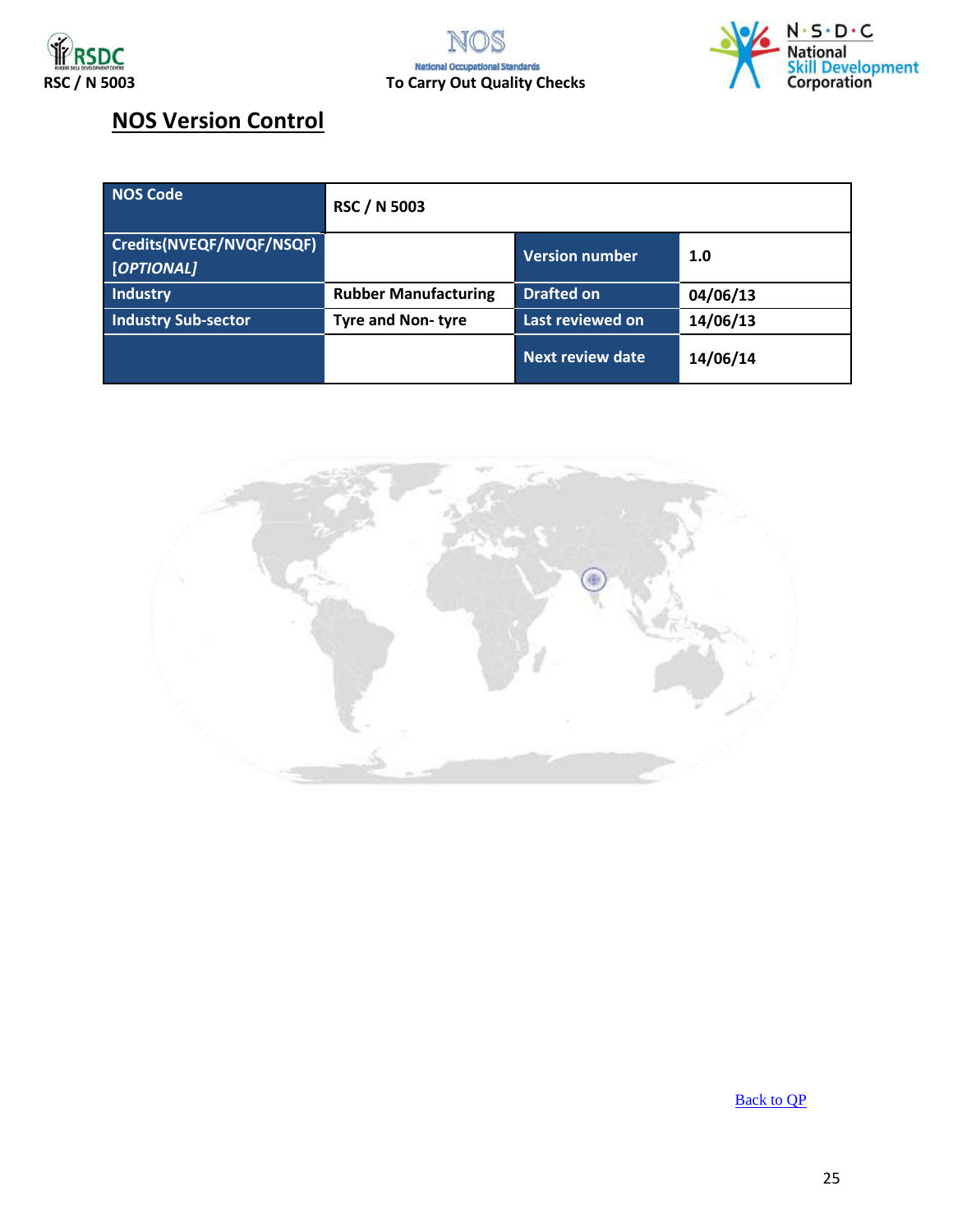



### **NOS Version Control**

| NOS Code                               | <b>RSC / N 5003</b>         |                         |          |
|----------------------------------------|-----------------------------|-------------------------|----------|
| Credits(NVEQF/NVQF/NSQF)<br>[OPTIONAL] |                             | Version number          | 1.0      |
| Industry                               | <b>Rubber Manufacturing</b> | <b>Drafted on</b>       | 04/06/13 |
| <b>Industry Sub-sector</b>             | <b>Tyre and Non-tyre</b>    | Last reviewed on        | 14/06/13 |
|                                        |                             | <b>Next review date</b> | 14/06/14 |

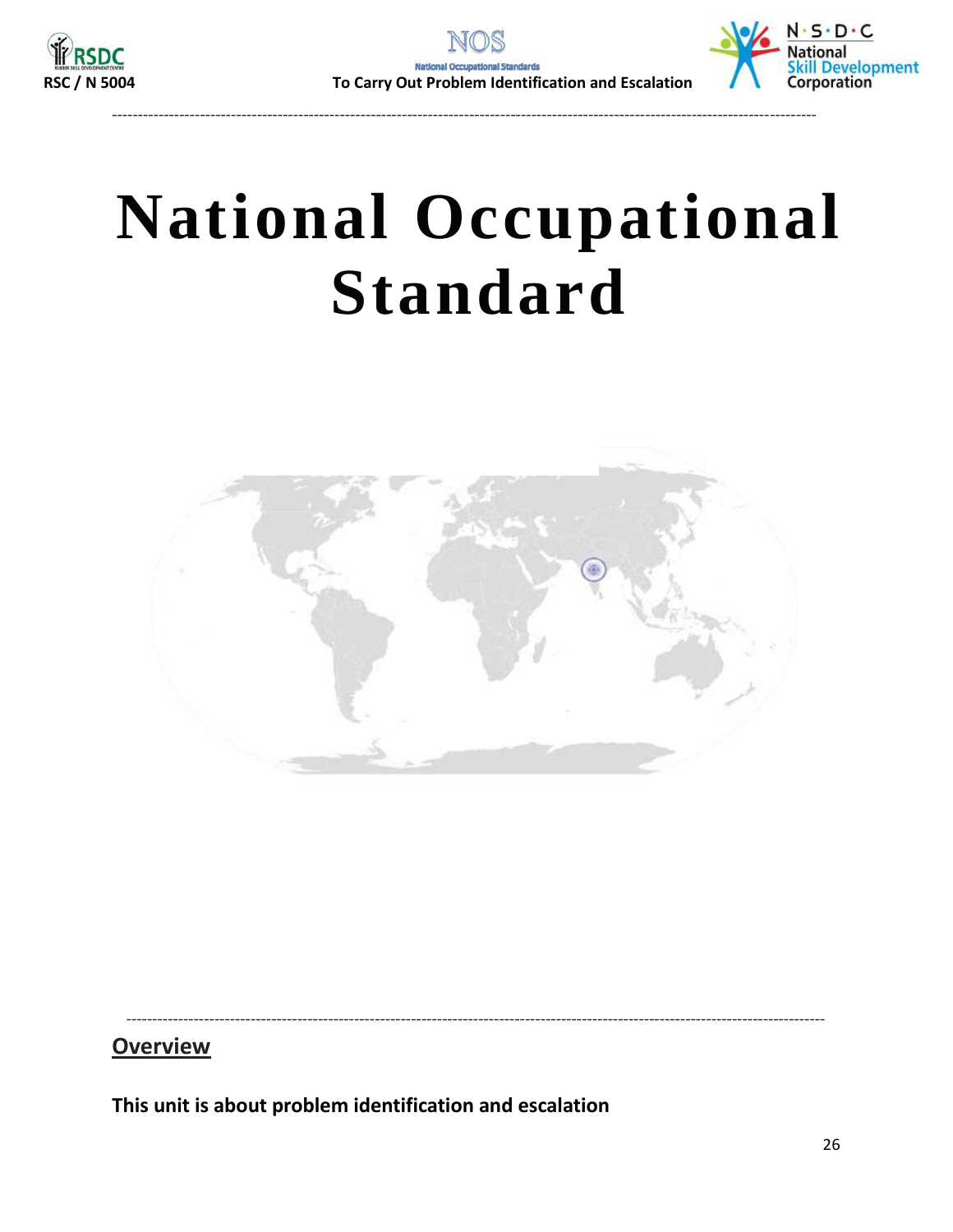



# <span id="page-25-1"></span>**National Occupational Standard**

<span id="page-25-0"></span>----------------------------------------------------------------------------------------------------------------------------------------



---------------------------------------------------------------------------------------------------------------------------------------

### **Overview**

**This unit is about problem identification and escalation**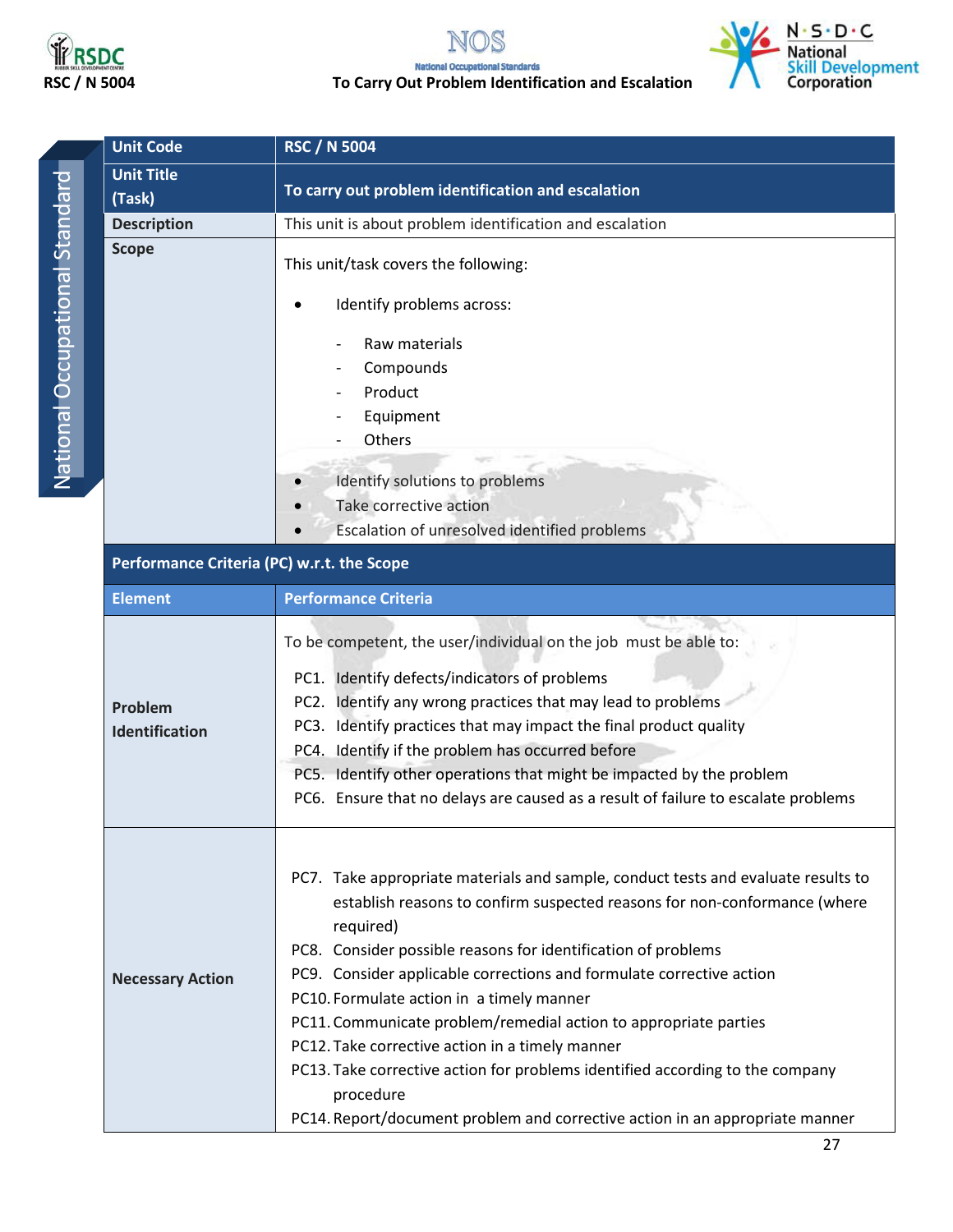

### **RSDC**<br>RSC / N 5004 To Carry Out Problem Identification and Escalation<br>To Carry Out Problem Identification and Escalation



| ï |
|---|
|   |
| I |
|   |
|   |
|   |
|   |
|   |
|   |
|   |
| I |
|   |
|   |
|   |
|   |
|   |
|   |
|   |
|   |
| ١ |
| ı |
|   |
|   |
| Ì |
|   |
|   |
|   |
|   |
|   |
|   |

| <b>Unit Code</b>                           | <b>RSC / N 5004</b>                                                                                                                                                                                                                                                                                                                                                                                                                                                                                                                                                                                                                                                    |  |  |  |
|--------------------------------------------|------------------------------------------------------------------------------------------------------------------------------------------------------------------------------------------------------------------------------------------------------------------------------------------------------------------------------------------------------------------------------------------------------------------------------------------------------------------------------------------------------------------------------------------------------------------------------------------------------------------------------------------------------------------------|--|--|--|
| <b>Unit Title</b>                          |                                                                                                                                                                                                                                                                                                                                                                                                                                                                                                                                                                                                                                                                        |  |  |  |
| (Task)                                     | To carry out problem identification and escalation                                                                                                                                                                                                                                                                                                                                                                                                                                                                                                                                                                                                                     |  |  |  |
| <b>Description</b>                         | This unit is about problem identification and escalation                                                                                                                                                                                                                                                                                                                                                                                                                                                                                                                                                                                                               |  |  |  |
| <b>Scope</b>                               | This unit/task covers the following:                                                                                                                                                                                                                                                                                                                                                                                                                                                                                                                                                                                                                                   |  |  |  |
|                                            | Identify problems across:                                                                                                                                                                                                                                                                                                                                                                                                                                                                                                                                                                                                                                              |  |  |  |
|                                            | Raw materials                                                                                                                                                                                                                                                                                                                                                                                                                                                                                                                                                                                                                                                          |  |  |  |
|                                            | Compounds                                                                                                                                                                                                                                                                                                                                                                                                                                                                                                                                                                                                                                                              |  |  |  |
|                                            | Product                                                                                                                                                                                                                                                                                                                                                                                                                                                                                                                                                                                                                                                                |  |  |  |
|                                            | Equipment                                                                                                                                                                                                                                                                                                                                                                                                                                                                                                                                                                                                                                                              |  |  |  |
|                                            | Others                                                                                                                                                                                                                                                                                                                                                                                                                                                                                                                                                                                                                                                                 |  |  |  |
|                                            | Identify solutions to problems                                                                                                                                                                                                                                                                                                                                                                                                                                                                                                                                                                                                                                         |  |  |  |
|                                            | Take corrective action                                                                                                                                                                                                                                                                                                                                                                                                                                                                                                                                                                                                                                                 |  |  |  |
|                                            | Escalation of unresolved identified problems                                                                                                                                                                                                                                                                                                                                                                                                                                                                                                                                                                                                                           |  |  |  |
| Performance Criteria (PC) w.r.t. the Scope |                                                                                                                                                                                                                                                                                                                                                                                                                                                                                                                                                                                                                                                                        |  |  |  |
| <b>Element</b>                             | <b>Performance Criteria</b>                                                                                                                                                                                                                                                                                                                                                                                                                                                                                                                                                                                                                                            |  |  |  |
| Problem<br><b>Identification</b>           | To be competent, the user/individual on the job must be able to:<br>PC1. Identify defects/indicators of problems<br>PC2. Identify any wrong practices that may lead to problems<br>PC3. Identify practices that may impact the final product quality<br>PC4. Identify if the problem has occurred before<br>PC5. Identify other operations that might be impacted by the problem<br>PC6. Ensure that no delays are caused as a result of failure to escalate problems                                                                                                                                                                                                  |  |  |  |
| <b>Necessary Action</b>                    | PC7. Take appropriate materials and sample, conduct tests and evaluate results to<br>establish reasons to confirm suspected reasons for non-conformance (where<br>required)<br>PC8. Consider possible reasons for identification of problems<br>PC9. Consider applicable corrections and formulate corrective action<br>PC10. Formulate action in a timely manner<br>PC11. Communicate problem/remedial action to appropriate parties<br>PC12. Take corrective action in a timely manner<br>PC13. Take corrective action for problems identified according to the company<br>procedure<br>PC14. Report/document problem and corrective action in an appropriate manner |  |  |  |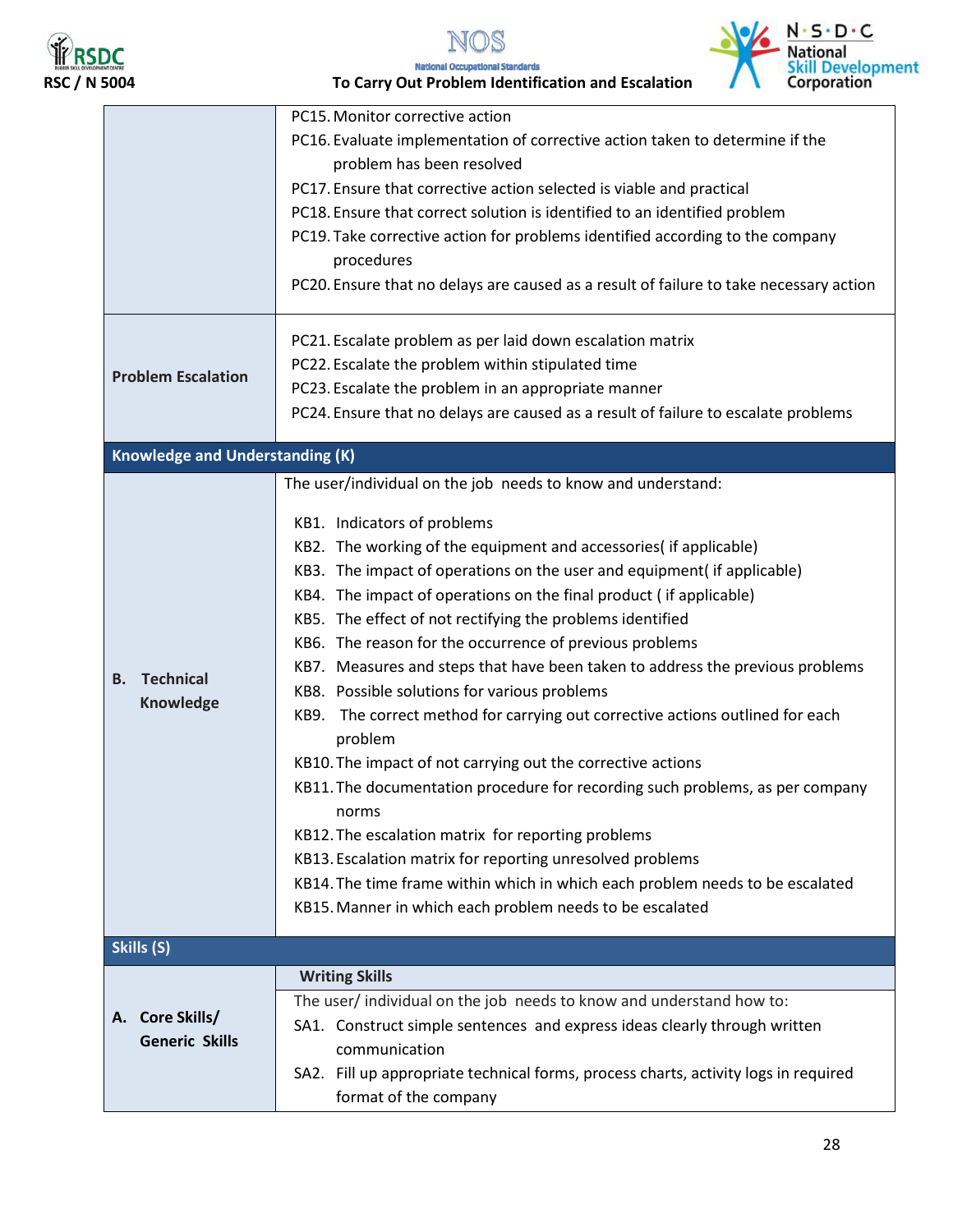



**RSDC**<br>RSC / N 5004 **RSC / N** 5004 **RSC / N** 5004 **RSC / N** 5004 **To Carry Out Problem Identification and Escalation** 

|                                        | PC15. Monitor corrective action                                                          |  |  |
|----------------------------------------|------------------------------------------------------------------------------------------|--|--|
|                                        | PC16. Evaluate implementation of corrective action taken to determine if the             |  |  |
|                                        | problem has been resolved                                                                |  |  |
|                                        | PC17. Ensure that corrective action selected is viable and practical                     |  |  |
|                                        | PC18. Ensure that correct solution is identified to an identified problem                |  |  |
|                                        | PC19. Take corrective action for problems identified according to the company            |  |  |
|                                        | procedures                                                                               |  |  |
|                                        | PC20. Ensure that no delays are caused as a result of failure to take necessary action   |  |  |
|                                        | PC21. Escalate problem as per laid down escalation matrix                                |  |  |
|                                        | PC22. Escalate the problem within stipulated time                                        |  |  |
| <b>Problem Escalation</b>              | PC23. Escalate the problem in an appropriate manner                                      |  |  |
|                                        | PC24. Ensure that no delays are caused as a result of failure to escalate problems       |  |  |
| <b>Knowledge and Understanding (K)</b> |                                                                                          |  |  |
|                                        | The user/individual on the job needs to know and understand:                             |  |  |
|                                        |                                                                                          |  |  |
|                                        | KB1. Indicators of problems                                                              |  |  |
|                                        | KB2. The working of the equipment and accessories (if applicable)                        |  |  |
|                                        | KB3. The impact of operations on the user and equipment( if applicable)                  |  |  |
|                                        | KB4. The impact of operations on the final product (if applicable)                       |  |  |
|                                        | KB5. The effect of not rectifying the problems identified                                |  |  |
|                                        | KB6. The reason for the occurrence of previous problems                                  |  |  |
| <b>B.</b> Technical                    | KB7. Measures and steps that have been taken to address the previous problems            |  |  |
| Knowledge                              | KB8. Possible solutions for various problems                                             |  |  |
|                                        | KB9. The correct method for carrying out corrective actions outlined for each<br>problem |  |  |
|                                        | KB10. The impact of not carrying out the corrective actions                              |  |  |
|                                        | KB11. The documentation procedure for recording such problems, as per company<br>norms   |  |  |
|                                        | KB12. The escalation matrix for reporting problems                                       |  |  |
|                                        | KB13. Escalation matrix for reporting unresolved problems                                |  |  |
|                                        | KB14. The time frame within which in which each problem needs to be escalated            |  |  |
|                                        | KB15. Manner in which each problem needs to be escalated                                 |  |  |
| Skills (S)                             |                                                                                          |  |  |
|                                        | <b>Writing Skills</b>                                                                    |  |  |
| A. Core Skills/                        | The user/ individual on the job needs to know and understand how to:                     |  |  |
|                                        | SA1. Construct simple sentences and express ideas clearly through written                |  |  |
| <b>Generic Skills</b>                  | communication                                                                            |  |  |
|                                        | SA2. Fill up appropriate technical forms, process charts, activity logs in required      |  |  |
|                                        | format of the company                                                                    |  |  |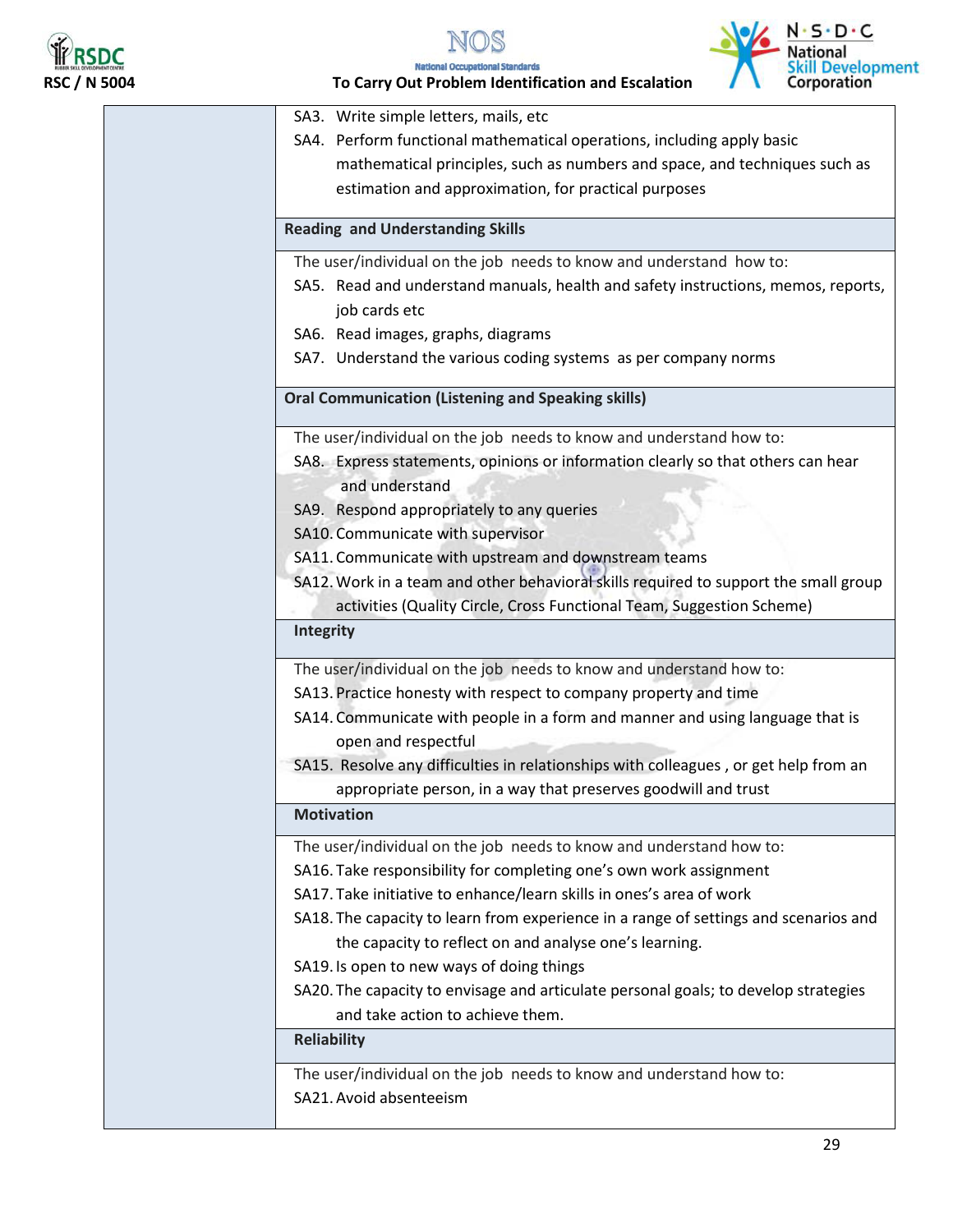

NOS





|                     | $N \cdot 5 \cdot U \cdot C$<br><b>National</b>                                                                                        |  |  |  |
|---------------------|---------------------------------------------------------------------------------------------------------------------------------------|--|--|--|
| <b>RSC / N 5004</b> | <b>Skill Developme</b><br>Corporation<br><b>National Occupational Standards</b><br>To Carry Out Problem Identification and Escalation |  |  |  |
|                     | SA3. Write simple letters, mails, etc                                                                                                 |  |  |  |
|                     | SA4. Perform functional mathematical operations, including apply basic                                                                |  |  |  |
|                     | mathematical principles, such as numbers and space, and techniques such as                                                            |  |  |  |
|                     | estimation and approximation, for practical purposes                                                                                  |  |  |  |
|                     | <b>Reading and Understanding Skills</b>                                                                                               |  |  |  |
|                     | The user/individual on the job needs to know and understand how to:                                                                   |  |  |  |
|                     | SA5. Read and understand manuals, health and safety instructions, memos, reports,                                                     |  |  |  |
|                     | job cards etc                                                                                                                         |  |  |  |
|                     | SA6. Read images, graphs, diagrams                                                                                                    |  |  |  |
|                     | SA7. Understand the various coding systems as per company norms                                                                       |  |  |  |
|                     | <b>Oral Communication (Listening and Speaking skills)</b>                                                                             |  |  |  |
|                     | The user/individual on the job needs to know and understand how to:                                                                   |  |  |  |
|                     | SA8. Express statements, opinions or information clearly so that others can hear                                                      |  |  |  |
|                     | and understand                                                                                                                        |  |  |  |
|                     | SA9. Respond appropriately to any queries                                                                                             |  |  |  |
|                     | SA10. Communicate with supervisor                                                                                                     |  |  |  |
|                     | SA11. Communicate with upstream and downstream teams                                                                                  |  |  |  |
|                     | SA12. Work in a team and other behavioral skills required to support the small group                                                  |  |  |  |
|                     | activities (Quality Circle, Cross Functional Team, Suggestion Scheme)                                                                 |  |  |  |
|                     | Integrity                                                                                                                             |  |  |  |
|                     | The user/individual on the job needs to know and understand how to:                                                                   |  |  |  |
|                     | SA13. Practice honesty with respect to company property and time                                                                      |  |  |  |
|                     | SA14. Communicate with people in a form and manner and using language that is                                                         |  |  |  |
|                     | open and respectful                                                                                                                   |  |  |  |
|                     | SA15. Resolve any difficulties in relationships with colleagues, or get help from an                                                  |  |  |  |
|                     | appropriate person, in a way that preserves goodwill and trust                                                                        |  |  |  |
|                     | <b>Motivation</b>                                                                                                                     |  |  |  |
|                     | The user/individual on the job needs to know and understand how to:                                                                   |  |  |  |
|                     | SA16. Take responsibility for completing one's own work assignment                                                                    |  |  |  |
|                     | SA17. Take initiative to enhance/learn skills in ones's area of work                                                                  |  |  |  |
|                     | SA18. The capacity to learn from experience in a range of settings and scenarios and                                                  |  |  |  |
|                     | the capacity to reflect on and analyse one's learning.                                                                                |  |  |  |
|                     | SA19. Is open to new ways of doing things                                                                                             |  |  |  |
|                     | SA20. The capacity to envisage and articulate personal goals; to develop strategies                                                   |  |  |  |
|                     | and take action to achieve them.                                                                                                      |  |  |  |
|                     | <b>Reliability</b>                                                                                                                    |  |  |  |
|                     | The user/individual on the job needs to know and understand how to:                                                                   |  |  |  |
|                     | SA21. Avoid absenteeism                                                                                                               |  |  |  |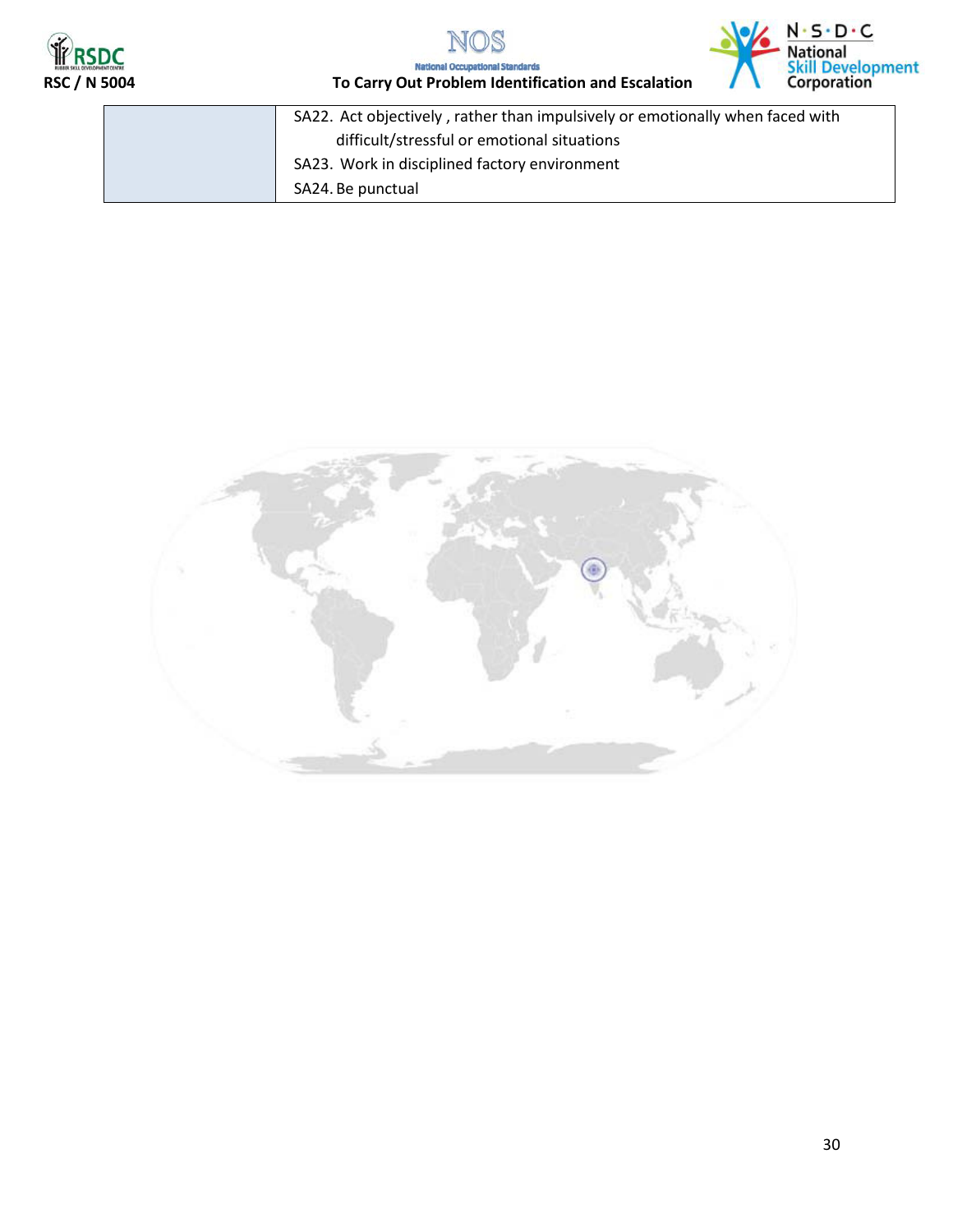





| SA22. Act objectively, rather than impulsively or emotionally when faced with |
|-------------------------------------------------------------------------------|
| difficult/stressful or emotional situations                                   |
| SA23. Work in disciplined factory environment                                 |
| SA24. Be punctual                                                             |